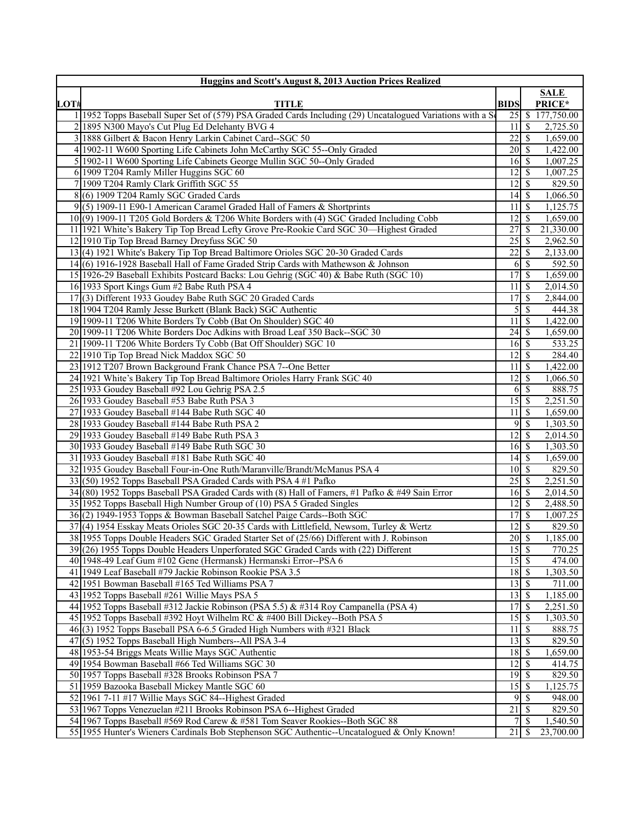|      | Huggins and Scott's August 8, 2013 Auction Prices Realized                                                  |                                            |                 |                               |
|------|-------------------------------------------------------------------------------------------------------------|--------------------------------------------|-----------------|-------------------------------|
|      |                                                                                                             |                                            |                 | SALE                          |
| LOT# | <b>TITLE</b>                                                                                                | <b>BIDS</b>                                |                 | PRICE*                        |
|      | 1 1952 Topps Baseball Super Set of (579) PSA Graded Cards Including (29) Uncatalogued Variations with a So  |                                            |                 | $\overline{25}$ \$ 177,750.00 |
|      | 2 1895 N300 Mayo's Cut Plug Ed Delehanty BVG 4                                                              | $11 \mid S$                                |                 | 2,725.50                      |
|      | 3 1888 Gilbert & Bacon Henry Larkin Cabinet Card-SGC 50                                                     | 22                                         | <sup>\$</sup>   | 1,659.00                      |
|      | 4 1902-11 W600 Sporting Life Cabinets John McCarthy SGC 55--Only Graded                                     | 20 S                                       |                 | 1,422.00                      |
|      | 5 1902-11 W600 Sporting Life Cabinets George Mullin SGC 50--Only Graded                                     | 16 S                                       |                 | 1,007.25                      |
|      | 6 1909 T204 Ramly Miller Huggins SGC 60                                                                     | 12 <sup>1</sup>                            | <sup>\$</sup>   | 1,007.25                      |
|      | 7 1909 T204 Ramly Clark Griffith SGC 55                                                                     | $12\overline{3}$                           |                 | 829.50                        |
|      | $8(6)$ 1909 T204 Ramly SGC Graded Cards                                                                     | $14 \mid$ \$                               |                 | 1,066.50                      |
|      | $9(5)$ 1909-11 E90-1 American Caramel Graded Hall of Famers & Shortprints                                   | $11\overline{3}$                           |                 | 1,125.75                      |
|      | 10(9) 1909-11 T205 Gold Borders & T206 White Borders with (4) SGC Graded Including Cobb                     | $12 \mid$ \$                               |                 | 1,659.00                      |
|      | 11 1921 White's Bakery Tip Top Bread Lefty Grove Pre-Rookie Card SGC 30—Highest Graded                      |                                            |                 | 21,330.00                     |
|      | 12 1910 Tip Top Bread Barney Dreyfuss SGC 50                                                                |                                            |                 | 2,962.50                      |
|      | 13(4) 1921 White's Bakery Tip Top Bread Baltimore Orioles SGC 20-30 Graded Cards                            | 22                                         | <sup>\$</sup>   | 2,133.00                      |
|      | 14(6) 1916-1928 Baseball Hall of Fame Graded Strip Cards with Mathewson & Johnson                           |                                            | $6 \mid$ \$     | 592.50                        |
|      | 15 1926-29 Baseball Exhibits Postcard Backs: Lou Gehrig (SGC 40) & Babe Ruth (SGC 10)                       | $17$ $\bar{\text{s}}$                      |                 | 1,659.00                      |
|      | 16 1933 Sport Kings Gum #2 Babe Ruth PSA 4                                                                  | 11 I S                                     |                 | 2,014.50                      |
|      | 17(3) Different 1933 Goudey Babe Ruth SGC 20 Graded Cards                                                   | 17 <sup>1</sup>                            | <sup>\$</sup>   | 2,844.00                      |
|      | 18 1904 T204 Ramly Jesse Burkett (Blank Back) SGC Authentic                                                 |                                            | $5\overline{3}$ | 444.38                        |
|      | 19 1909-11 T206 White Borders Ty Cobb (Bat On Shoulder) SGC 40                                              | $11\overline{3}$                           |                 | 1,422.00                      |
|      | 20 1909-11 T206 White Borders Doc Adkins with Broad Leaf 350 Back--SGC 30                                   | $24 \mid S$<br>$16 \overline{\smash{)}\,}$ |                 | 1,659.00                      |
|      | 21 1909-11 T206 White Borders Ty Cobb (Bat Off Shoulder) SGC 10<br>22 1910 Tip Top Bread Nick Maddox SGC 50 | $12$   \$                                  |                 | 533.25<br>284.40              |
|      | 23 1912 T207 Brown Background Frank Chance PSA 7--One Better                                                | 11 S                                       |                 | 1,422.00                      |
|      | 24 1921 White's Bakery Tip Top Bread Baltimore Orioles Harry Frank SGC 40                                   | $12 \mid$ \$                               |                 | 1,066.50                      |
|      | 25 1933 Goudey Baseball #92 Lou Gehrig PSA 2.5                                                              |                                            | $6\sqrt{5}$     | 888.75                        |
|      | 26 1933 Goudey Baseball #53 Babe Ruth PSA 3                                                                 | 15 <sup> </sup>                            | <sup>\$</sup>   | 2,251.50                      |
|      | 27 1933 Goudey Baseball #144 Babe Ruth SGC 40                                                               | $11 \mid S$                                |                 | 1,659.00                      |
|      | 28 1933 Goudey Baseball #144 Babe Ruth PSA 2                                                                | 9                                          | -S              | 1,303.50                      |
|      | 29 1933 Goudey Baseball #149 Babe Ruth PSA 3                                                                | 12 <sup>1</sup>                            | <sup>S</sup>    | 2,014.50                      |
|      | 30 1933 Goudey Baseball #149 Babe Ruth SGC 30                                                               | $16\overline{3}$                           |                 | 1,303.50                      |
|      | 31 1933 Goudey Baseball #181 Babe Ruth SGC 40                                                               |                                            |                 | 1,659.00                      |
|      | 32 1935 Goudey Baseball Four-in-One Ruth/Maranville/Brandt/McManus PSA 4                                    | $10\sqrt{S}$                               |                 | 829.50                        |
|      | 33(50) 1952 Topps Baseball PSA Graded Cards with PSA 4 #1 Pafko                                             | $25 \mid$ \$                               |                 | 2,251.50                      |
|      | $34(80)$ 1952 Topps Baseball PSA Graded Cards with (8) Hall of Famers, #1 Pafko & #49 Sain Error            | $16 \mid$ \$                               |                 | 2,014.50                      |
|      | 35 1952 Topps Baseball High Number Group of (10) PSA 5 Graded Singles                                       | $12 \mid$ \$                               |                 | 2,488.50                      |
|      | 36(2) 1949-1953 Topps & Bowman Baseball Satchel Paige Cards--Both SGC                                       | 17S                                        |                 | 1,007.25                      |
|      | 37(4) 1954 Esskay Meats Orioles SGC 20-35 Cards with Littlefield, Newsom, Turley & Wertz                    | $12 \mid$ \$                               |                 | 829.50                        |
|      | 38 1955 Topps Double Headers SGC Graded Starter Set of (25/66) Different with J. Robinson                   |                                            |                 | 1,185.00                      |
|      | 39(26) 1955 Topps Double Headers Unperforated SGC Graded Cards with (22) Different                          | 15S                                        |                 | 770.25                        |
|      | 40 1948-49 Leaf Gum #102 Gene (Hermansk) Hermanski Error--PSA 6                                             | $15\overline{3}$                           |                 | 474.00                        |
|      | 41 1949 Leaf Baseball #79 Jackie Robinson Rookie PSA 3.5                                                    |                                            |                 | 1,303.50                      |
|      | 42 1951 Bowman Baseball #165 Ted Williams PSA 7                                                             | $13$ $\sqrt{5}$                            |                 | 711.00                        |
|      | 43 1952 Topps Baseball #261 Willie Mays PSA 5                                                               | $13 \mid$ \$                               |                 | 1,185.00                      |
|      | 44 1952 Topps Baseball #312 Jackie Robinson (PSA 5.5) & #314 Roy Campanella (PSA 4)                         | 17                                         | -S              | 2,251.50                      |
|      | 45 1952 Topps Baseball #392 Hoyt Wilhelm RC & #400 Bill Dickey--Both PSA 5                                  |                                            |                 | 1,303.50                      |
|      | 46(3) 1952 Topps Baseball PSA 6-6.5 Graded High Numbers with #321 Black                                     | $11 \mid$ \$                               |                 | 888.75                        |
|      | 47 (5) 1952 Topps Baseball High Numbers--All PSA 3-4                                                        | $\overline{13}$ $\overline{5}$             |                 | 829.50                        |
|      | 48 1953-54 Briggs Meats Willie Mays SGC Authentic                                                           |                                            |                 | 1,659.00                      |
|      | 49 1954 Bowman Baseball #66 Ted Williams SGC 30                                                             | $12 \mid$ \$                               |                 | 414.75                        |
|      | 50 1957 Topps Baseball #328 Brooks Robinson PSA 7                                                           | $19$ $\sqrt{5}$                            |                 | 829.50                        |
|      | 51 1959 Bazooka Baseball Mickey Mantle SGC 60                                                               |                                            |                 | 1,125.75                      |
|      | 52 1961 7-11 #17 Willie Mays SGC 84--Highest Graded                                                         |                                            | $9$ $\sqrt{3}$  | 948.00                        |
|      | 53 1967 Topps Venezuelan #211 Brooks Robinson PSA 6--Highest Graded                                         | $\overline{21}$ \$                         |                 | 829.50                        |
|      | 54 1967 Topps Baseball #569 Rod Carew & #581 Tom Seaver Rookies--Both SGC 88                                | 7 I                                        | -S              | 1,540.50                      |
|      | 55 1955 Hunter's Wieners Cardinals Bob Stephenson SGC Authentic--Uncatalogued & Only Known!                 | $21 \mid$ \$                               |                 | 23,700.00                     |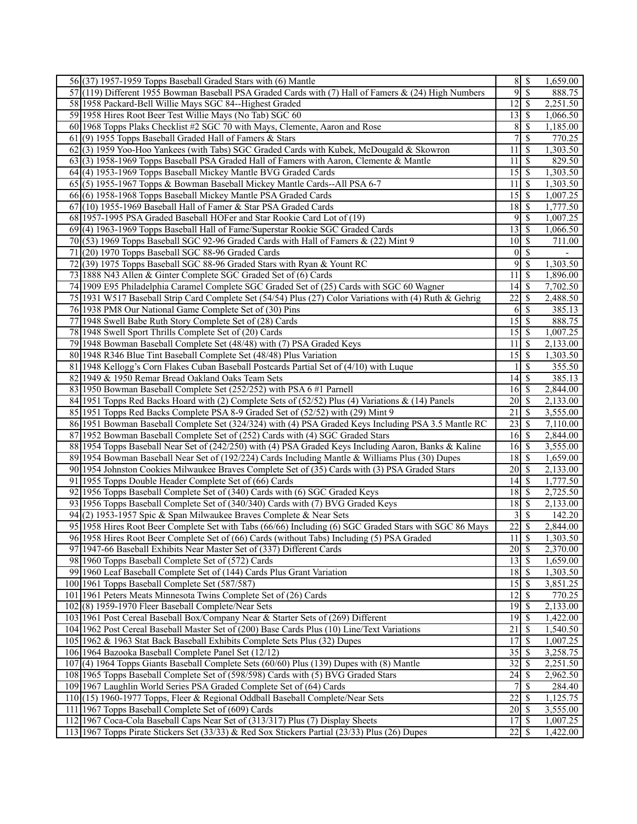| $56(37)$ 1957-1959 Topps Baseball Graded Stars with (6) Mantle                                          | 8S                             |                          | 1,659.00                 |
|---------------------------------------------------------------------------------------------------------|--------------------------------|--------------------------|--------------------------|
| 57(119) Different 1955 Bowman Baseball PSA Graded Cards with (7) Hall of Famers & (24) High Numbers     | 9S                             |                          | 888.75                   |
| 58 1958 Packard-Bell Willie Mays SGC 84--Highest Graded                                                 | $12 \mid$ \$                   |                          | 2,251.50                 |
| 59 1958 Hires Root Beer Test Willie Mays (No Tab) SGC 60                                                | $13 \mid$ \$                   |                          | 1,066.50                 |
| 60 1968 Topps Plaks Checklist #2 SGC 70 with Mays, Clemente, Aaron and Rose                             | 8                              | l \$                     | 1,185.00                 |
| $61(9)$ 1955 Topps Baseball Graded Hall of Famers & Stars                                               | $\overline{7}$                 | \$                       | 770.25                   |
| 62(3) 1959 Yoo-Hoo Yankees (with Tabs) SGC Graded Cards with Kubek, McDougald & Skowron                 | 11                             | -\$                      | 1,303.50                 |
| 63(3) 1958-1969 Topps Baseball PSA Graded Hall of Famers with Aaron, Clemente & Mantle                  | 11                             | $\overline{\mathbf{s}}$  | 829.50                   |
| 64(4) 1953-1969 Topps Baseball Mickey Mantle BVG Graded Cards                                           |                                |                          | 1,303.50                 |
| 65(5) 1955-1967 Topps & Bowman Baseball Mickey Mantle Cards--All PSA 6-7                                | 11                             | l \$                     | 1,303.50                 |
| 66(6) 1958-1968 Topps Baseball Mickey Mantle PSA Graded Cards                                           |                                |                          | 1,007.25                 |
| $67(10)$ 1955-1969 Baseball Hall of Famer & Star PSA Graded Cards                                       | $\overline{18}$ $\overline{5}$ |                          | 1,777.50                 |
| 68 1957-1995 PSA Graded Baseball HOFer and Star Rookie Card Lot of (19)                                 | $9$ \ $\frac{1}{3}$            |                          |                          |
|                                                                                                         |                                |                          | 1,007.25                 |
| 69(4) 1963-1969 Topps Baseball Hall of Fame/Superstar Rookie SGC Graded Cards                           | $13 \mid$ \$                   |                          | 1,066.50                 |
| 70 (53) 1969 Topps Baseball SGC 92-96 Graded Cards with Hall of Famers & $(22)$ Mint 9                  | $\overline{10}$ \$             |                          | 711.00                   |
| 71<br>(20) 1970 Topps Baseball SGC 88-96 Graded Cards                                                   | $0 \mid \mathsf{S}$            |                          | $\overline{\phantom{0}}$ |
| 72<br>(39) 1975 Topps Baseball SGC 88-96 Graded Stars with Ryan & Yount RC                              | 95                             |                          | 1,303.50                 |
| 73 1888 N43 Allen & Ginter Complete SGC Graded Set of (6) Cards                                         | 11                             | l \$                     | 1,896.00                 |
| 74 1909 E95 Philadelphia Caramel Complete SGC Graded Set of (25) Cards with SGC 60 Wagner               | $14$ $\sqrt{5}$                |                          | 7,702.50                 |
| 75 1931 W517 Baseball Strip Card Complete Set (54/54) Plus (27) Color Variations with (4) Ruth & Gehrig | $\overline{22}$                | l \$                     | 2,488.50                 |
| 76 1938 PM8 Our National Game Complete Set of (30) Pins                                                 | $6 \overline{\smash{)}\,}$     |                          | 385.13                   |
| 77 1948 Swell Babe Ruth Story Complete Set of (28) Cards                                                | $15\overline{\smash{)}\,}$     |                          | 888.75                   |
| 78 1948 Swell Sport Thrills Complete Set of (20) Cards                                                  |                                |                          | 1,007.25                 |
| 79 1948 Bowman Baseball Complete Set (48/48) with (7) PSA Graded Keys                                   | $11 \mid$ \$                   |                          | 2,133.00                 |
| 80 1948 R346 Blue Tint Baseball Complete Set (48/48) Plus Variation                                     | 15S                            |                          | 1,303.50                 |
| 81 1948 Kellogg's Corn Flakes Cuban Baseball Postcards Partial Set of (4/10) with Luque                 |                                | $\overline{\mathcal{S}}$ | 355.50                   |
| 82 1949 & 1950 Remar Bread Oakland Oaks Team Sets                                                       | $\overline{14}$ \$             |                          | 385.13                   |
| 83 1950 Bowman Baseball Complete Set (252/252) with PSA 6 #1 Parnell                                    | $16 \mid S$                    |                          | 2,844.00                 |
| 84 1951 Topps Red Backs Hoard with (2) Complete Sets of (52/52) Plus (4) Variations & (14) Panels       | $\overline{20}$ \$             |                          | 2,133.00                 |
| 85 1951 Topps Red Backs Complete PSA 8-9 Graded Set of (52/52) with (29) Mint 9                         | 21                             | \$                       | 3,555.00                 |
| 86 1951 Bowman Baseball Complete Set (324/324) with (4) PSA Graded Keys Including PSA 3.5 Mantle RC     |                                |                          | 7,110.00                 |
| 87 1952 Bowman Baseball Complete Set of (252) Cards with (4) SGC Graded Stars                           | $16 \mid$ \$                   |                          | 2,844.00                 |
| 88 1954 Topps Baseball Near Set of (242/250) with (4) PSA Graded Keys Including Aaron, Banks & Kaline   | $16\overline{3}$               |                          | 3,555.00                 |
| 89 1954 Bowman Baseball Near Set of (192/224) Cards Including Mantle & Williams Plus (30) Dupes         | $18 \mid$ \$                   |                          | 1,659.00                 |
| 90 1954 Johnston Cookies Milwaukee Braves Complete Set of (35) Cards with (3) PSA Graded Stars          | $20 \mid$ \$                   |                          | 2,133.00                 |
| 91 1955 Topps Double Header Complete Set of (66) Cards                                                  | $14$ $\sqrt{5}$                |                          | 1,777.50                 |
| 92 1956 Topps Baseball Complete Set of (340) Cards with (6) SGC Graded Keys                             | $18$ $\bar{S}$                 |                          | 2,725.50                 |
| 93 1956 Topps Baseball Complete Set of (340/340) Cards with (7) BVG Graded Keys                         | $18 \mid$ \$                   |                          | 2,133.00                 |
| 94(2) 1953-1957 Spic & Span Milwaukee Braves Complete & Near Sets                                       | $3\overline{3}$                |                          | 142.20                   |
| 95 1958 Hires Root Beer Complete Set with Tabs (66/66) Including (6) SGC Graded Stars with SGC 86 Mays  | 22                             | -\$                      | 2,844.00                 |
| 96 1958 Hires Root Beer Complete Set of (66) Cards (without Tabs) Including (5) PSA Graded              | $11 \overline{\smash{)}\,}$    |                          | 1,303.50                 |
| 97 1947-66 Baseball Exhibits Near Master Set of (337) Different Cards                                   | $20 \mid \mathsf{s}$           |                          | 2,370.00                 |
| 98 1960 Topps Baseball Complete Set of (572) Cards                                                      | $13 \mid$ \$                   |                          | 1,659.00                 |
| 99 1960 Leaf Baseball Complete Set of (144) Cards Plus Grant Variation                                  | 18S                            |                          | 1,303.50                 |
| 100 1961 Topps Baseball Complete Set (587/587)                                                          |                                |                          | 3,851.25                 |
| 101   1961 Peters Meats Minnesota Twins Complete Set of (26) Cards                                      | $12 \mid$ \$                   |                          | 770.25                   |
| 102(8) 1959-1970 Fleer Baseball Complete/Near Sets                                                      |                                |                          | 2,133.00                 |
| 103 1961 Post Cereal Baseball Box/Company Near & Starter Sets of (269) Different                        |                                |                          | 1,422.00                 |
| 104 1962 Post Cereal Baseball Master Set of (200) Base Cards Plus (10) Line/Text Variations             | $\overline{21}$                | \$                       | 1,540.50                 |
| 105 1962 & 1963 Stat Back Baseball Exhibits Complete Sets Plus (32) Dupes                               | 17S                            |                          | 1,007.25                 |
| 106 1964 Bazooka Baseball Complete Panel Set (12/12)                                                    |                                |                          | 3,258.75                 |
| 107(4) 1964 Topps Giants Baseball Complete Sets (60/60) Plus (139) Dupes with (8) Mantle                |                                |                          | 2,251.50                 |
| 108 1965 Topps Baseball Complete Set of (598/598) Cards with (5) BVG Graded Stars                       | $24 \overline{\smash{)}\,}$    |                          | 2,962.50                 |
| 109 1967 Laughlin World Series PSA Graded Complete Set of (64) Cards                                    | 7                              | $\overline{\mathcal{S}}$ | 284.40                   |
| 110 (15) 1960-1977 Topps, Fleer & Regional Oddball Baseball Complete/Near Sets                          | $\overline{22}$                | \$                       | 1,125.75                 |
| 111 1967 Topps Baseball Complete Set of (609) Cards                                                     |                                |                          | 3,555.00                 |
| 112 1967 Coca-Cola Baseball Caps Near Set of (313/317) Plus (7) Display Sheets                          |                                |                          | 1,007.25                 |
| 113 1967 Topps Pirate Stickers Set (33/33) & Red Sox Stickers Partial (23/33) Plus (26) Dupes           |                                |                          | 1,422.00                 |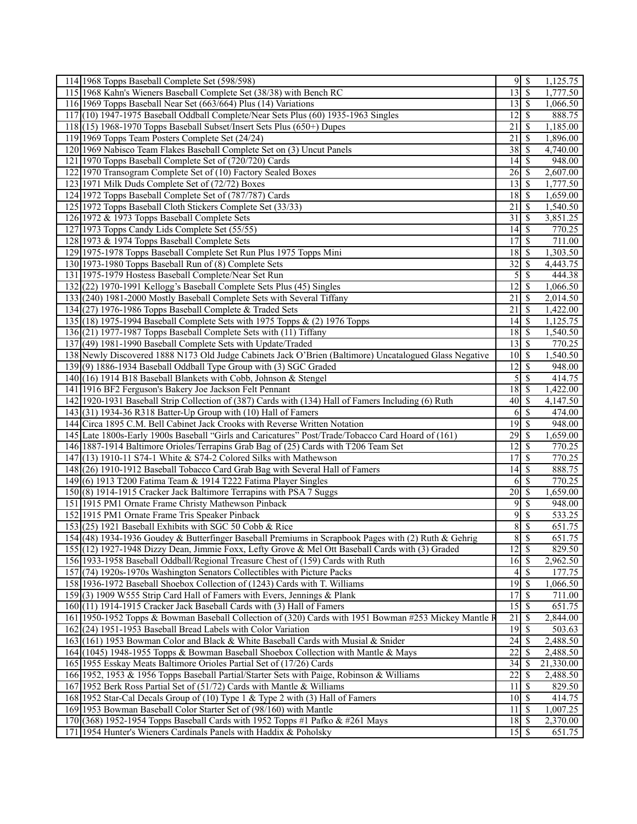| 114 1968 Topps Baseball Complete Set (598/598)                                                         |                                   | 95                             | 1,125.75  |
|--------------------------------------------------------------------------------------------------------|-----------------------------------|--------------------------------|-----------|
| 115 1968 Kahn's Wieners Baseball Complete Set (38/38) with Bench RC                                    | $\overline{13}$ \ $\overline{\$}$ |                                | 1,777.50  |
| 116 1969 Topps Baseball Near Set (663/664) Plus (14) Variations                                        | $13 \mid$ \$                      |                                | 1,066.50  |
| 117 (10) 1947-1975 Baseball Oddball Complete/Near Sets Plus (60) 1935-1963 Singles                     | $\overline{12}$ \$                |                                | 888.75    |
| $118(15)$ 1968-1970 Topps Baseball Subset/Insert Sets Plus (650+) Dupes                                | $\overline{21}$                   | \$                             | 1,185.00  |
| 119 1969 Topps Team Posters Complete Set (24/24)                                                       | $\overline{21}$                   | $\sqrt{s}$                     | 1,896.00  |
| 120 1969 Nabisco Team Flakes Baseball Complete Set on (3) Uncut Panels                                 |                                   |                                | 4,740.00  |
| 121 1970 Topps Baseball Complete Set of (720/720) Cards                                                | $\overline{14}$ \$                |                                | 948.00    |
| 122 1970 Transogram Complete Set of (10) Factory Sealed Boxes                                          | $26\sqrt{3}$                      |                                | 2,607.00  |
| 123 1971 Milk Duds Complete Set of (72/72) Boxes                                                       | $13 \mid$ \$                      |                                | 1,777.50  |
| 124 1972 Topps Baseball Complete Set of (787/787) Cards                                                | $18 \overline{\smash{\big)}\,}$   |                                | 1,659.00  |
| 125 1972 Topps Baseball Cloth Stickers Complete Set (33/33)                                            | 21                                | $\overline{\mathbf{s}}$        | 1,540.50  |
| 126 1972 & 1973 Topps Baseball Complete Sets                                                           | $31$ $\bar{S}$                    |                                | 3,851.25  |
|                                                                                                        |                                   |                                |           |
| 127 1973 Topps Candy Lids Complete Set (55/55)                                                         | $14 \overline{\smash{)}\,}$       |                                | 770.25    |
| 128 1973 & 1974 Topps Baseball Complete Sets                                                           | 17S                               |                                | 711.00    |
| 129 1975-1978 Topps Baseball Complete Set Run Plus 1975 Topps Mini                                     |                                   |                                | 1,303.50  |
| 130 1973-1980 Topps Baseball Run of (8) Complete Sets                                                  | $32 \mid \frac{2}{3}$             |                                | 4,443.75  |
| 131 1975-1979 Hostess Baseball Complete/Near Set Run                                                   |                                   | $\overline{5}$ $\overline{\$}$ | 444.38    |
| 132(22) 1970-1991 Kellogg's Baseball Complete Sets Plus (45) Singles                                   |                                   |                                | 1,066.50  |
| 133 (240) 1981-2000 Mostly Baseball Complete Sets with Several Tiffany                                 | $\overline{21}$                   | $\overline{\mathcal{S}}$       | 2,014.50  |
| 134 $(27)$ 1976-1986 Topps Baseball Complete & Traded Sets                                             | 21                                | $\sqrt{s}$                     | 1,422.00  |
| 135 (18) 1975-1994 Baseball Complete Sets with 1975 Topps & (2) 1976 Topps                             | $14 \mid$ \$                      |                                | 1,125.75  |
| $136(21)$ 1977-1987 Topps Baseball Complete Sets with (11) Tiffany                                     | $18 \overline{\smash{)}\,5}$      |                                | 1,540.50  |
| 137 (49) 1981-1990 Baseball Complete Sets with Update/Traded                                           | $13 \mid$ \$                      |                                | 770.25    |
| 138 Newly Discovered 1888 N173 Old Judge Cabinets Jack O'Brien (Baltimore) Uncatalogued Glass Negative | $10 \mid$ \$                      |                                | 1,540.50  |
| 139(9) 1886-1934 Baseball Oddball Type Group with (3) SGC Graded                                       | $\overline{12}$ \$                |                                | 948.00    |
| 140(16) 1914 B18 Baseball Blankets with Cobb, Johnson & Stengel                                        |                                   | $5\overline{\smash{)}\,}$      | 414.75    |
| 141 1916 BF2 Ferguson's Bakery Joe Jackson Felt Pennant                                                | $18 \,$ \$                        |                                | 1,422.00  |
| 142 1920-1931 Baseball Strip Collection of (387) Cards with (134) Hall of Famers Including (6) Ruth    | $40\overline{\smash{)}\,}$        |                                | 4,147.50  |
| 143(31) 1934-36 R318 Batter-Up Group with (10) Hall of Famers                                          |                                   | $6\sqrt{S}$                    | 474.00    |
| 144 Circa 1895 C.M. Bell Cabinet Jack Crooks with Reverse Written Notation                             | $19$ $\overline{\text{S}}$        |                                | 948.00    |
| 145 Late 1800s-Early 1900s Baseball "Girls and Caricatures" Post/Trade/Tobacco Card Hoard of (161)     |                                   |                                | 1,659.00  |
| 146 1887-1914 Baltimore Orioles/Terrapins Grab Bag of (25) Cards with T206 Team Set                    | $\overline{12}$ \$                |                                | 770.25    |
| 147 (13) 1910-11 S74-1 White & S74-2 Colored Silks with Mathewson                                      |                                   |                                | 770.25    |
| 148 (26) 1910-1912 Baseball Tobacco Card Grab Bag with Several Hall of Famers                          | $14 \mid$ \$                      |                                | 888.75    |
| 149 (6) 1913 T200 Fatima Team & 1914 T222 Fatima Player Singles                                        |                                   | $6\overline{3}$                | 770.25    |
| 150(8) 1914-1915 Cracker Jack Baltimore Terrapins with PSA 7 Suggs                                     | $\overline{20}$ \$                |                                | 1,659.00  |
| 151 1915 PM1 Ornate Frame Christy Mathewson Pinback                                                    |                                   | $9 \mid \text{\$\}$            | 948.00    |
| 152 1915 PM1 Ornate Frame Tris Speaker Pinback                                                         | 9                                 | \$                             | 533.25    |
| 153 (25) 1921 Baseball Exhibits with SGC 50 Cobb & Rice                                                | $8\,$                             | \$                             | 651.75    |
| 154 (48) 1934-1936 Goudey & Butterfinger Baseball Premiums in Scrapbook Pages with (2) Ruth & Gehrig   |                                   | 8S                             | 651.75    |
| 155 (12) 1927-1948 Dizzy Dean, Jimmie Foxx, Lefty Grove & Mel Ott Baseball Cards with (3) Graded       | $12 \mid$ \$                      |                                | 829.50    |
| 156 1933-1958 Baseball Oddball/Regional Treasure Chest of (159) Cards with Ruth                        | $16\overline{\smash{)}\,}$        |                                | 2,962.50  |
| 157 (74) 1920s-1970s Washington Senators Collectibles with Picture Packs                               |                                   |                                | 177.75    |
| 158 1936-1972 Baseball Shoebox Collection of (1243) Cards with T. Williams                             | $\overline{19}$ \$                |                                | 1,066.50  |
| 159(3) 1909 W555 Strip Card Hall of Famers with Evers, Jennings & Plank                                | 17S                               |                                | 711.00    |
| 160(11) 1914-1915 Cracker Jack Baseball Cards with (3) Hall of Famers                                  |                                   |                                | 651.75    |
| 161 1950-1952 Topps & Bowman Baseball Collection of (320) Cards with 1951 Bowman #253 Mickey Mantle F  | 21                                | \$                             | 2,844.00  |
| 162(24) 1951-1953 Baseball Bread Labels with Color Variation                                           | $19$ $\overline{\text{S}}$        |                                | 503.63    |
| 163 (161) 1953 Bowman Color and Black & White Baseball Cards with Musial & Snider                      |                                   |                                | 2,488.50  |
| 164 (1045) 1948-1955 Topps & Bowman Baseball Shoebox Collection with Mantle & Mays                     | 22                                | -\$                            | 2,488.50  |
| 165 1955 Esskay Meats Baltimore Orioles Partial Set of (17/26) Cards                                   |                                   |                                | 21,330.00 |
| 166 1952, 1953 & 1956 Topps Baseball Partial/Starter Sets with Paige, Robinson & Williams              | 22                                | $\sqrt{S}$                     | 2,488.50  |
| 167 1952 Berk Ross Partial Set of (51/72) Cards with Mantle & Williams                                 | 11                                | l \$                           | 829.50    |
| 168 1952 Star-Cal Decals Group of (10) Type 1 & Type 2 with (3) Hall of Famers                         | $10 \mid$ \$                      |                                | 414.75    |
| 169 1953 Bowman Baseball Color Starter Set of (98/160) with Mantle                                     | $11 \mid$ \$                      |                                | 1,007.25  |
| 170 (368) 1952-1954 Topps Baseball Cards with 1952 Topps #1 Pafko & #261 Mays                          | $18 \mid$ \$                      |                                | 2,370.00  |
| 171 1954 Hunter's Wieners Cardinals Panels with Haddix & Poholsky                                      |                                   |                                | 651.75    |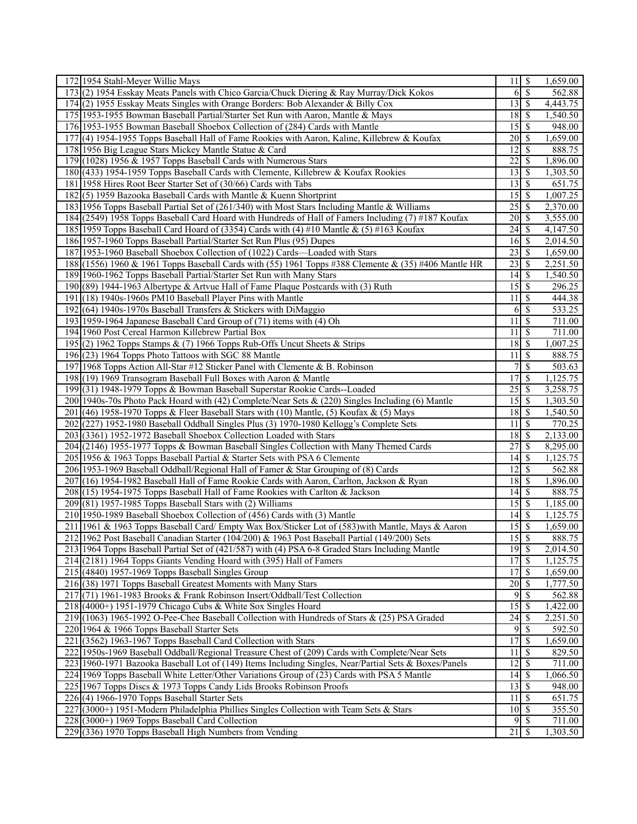| 172 1954 Stahl-Meyer Willie Mays                                                                      | $11 \overline{\smash{)}\,}$ |                          | 1,659.00             |
|-------------------------------------------------------------------------------------------------------|-----------------------------|--------------------------|----------------------|
| 173(2) 1954 Esskay Meats Panels with Chico Garcia/Chuck Diering & Ray Murray/Dick Kokos               | $6\sqrt{S}$                 |                          | 562.88               |
| 174(2) 1955 Esskay Meats Singles with Orange Borders: Bob Alexander & Billy Cox                       | $13 \mid$ \$                |                          | 4,443.75             |
| 175 1953-1955 Bowman Baseball Partial/Starter Set Run with Aaron, Mantle & Mays                       |                             |                          | 1,540.50             |
| 176 1953-1955 Bowman Baseball Shoebox Collection of (284) Cards with Mantle                           |                             |                          | 948.00               |
| 177 (4) 1954-1955 Topps Baseball Hall of Fame Rookies with Aaron, Kaline, Killebrew & Koufax          | $20 \mid$ \$                |                          | 1,659.00             |
| 178 1956 Big League Stars Mickey Mantle Statue & Card                                                 | $\overline{12}$ \$          |                          | 888.75               |
| 179 (1028) 1956 & 1957 Topps Baseball Cards with Numerous Stars                                       | 22                          | l \$                     | 1,896.00             |
| 180 (433) 1954-1959 Topps Baseball Cards with Clemente, Killebrew & Koufax Rookies                    | $13 \mid$ \$                |                          | 1,303.50             |
| 181 1958 Hires Root Beer Starter Set of (30/66) Cards with Tabs                                       | $13 \mid$ \$                |                          | 651.75               |
| 182(5) 1959 Bazooka Baseball Cards with Mantle & Kuenn Shortprint                                     |                             |                          | 1,007.25             |
| 183 1956 Topps Baseball Partial Set of (261/340) with Most Stars Including Mantle & Williams          | $25 \overline{\smash{)}\,}$ |                          | 2,370.00             |
| 184 (2549) 1958 Topps Baseball Card Hoard with Hundreds of Hall of Famers Including (7) #187 Koufax   |                             |                          | 3,555.00             |
| 185 1959 Topps Baseball Card Hoard of (3354) Cards with (4) #10 Mantle & (5) #163 Koufax              |                             |                          | 4,147.50             |
| 186 1957-1960 Topps Baseball Partial/Starter Set Run Plus (95) Dupes                                  | $16 \mid$ \$                |                          | 2,014.50             |
| 187 1953-1960 Baseball Shoebox Collection of (1022) Cards—Loaded with Stars                           |                             |                          | 1,659.00             |
| 188 (1556) 1960 & 1961 Topps Baseball Cards with (55) 1961 Topps #388 Clemente & (35) #406 Mantle HR  | 23                          | \$                       | 2,251.50             |
| 189 1960-1962 Topps Baseball Partial/Starter Set Run with Many Stars                                  |                             |                          | 1,540.50             |
| 190 (89) 1944-1963 Albertype & Artvue Hall of Fame Plaque Postcards with (3) Ruth                     | $15 \overline{\smash{)}\,}$ |                          | 296.25               |
| $191(18)$ 1940s-1960s PM10 Baseball Player Pins with Mantle                                           | 11                          | \$                       | 444.38               |
| 192 (64) 1940s-1970s Baseball Transfers & Stickers with DiMaggio                                      | 6                           | $\sqrt{S}$               | 533.25               |
| 193 1959-1964 Japanese Baseball Card Group of (71) items with (4) Oh                                  | 11                          | $\overline{\mathcal{S}}$ | 711.00               |
| 194 1960 Post Cereal Harmon Killebrew Partial Box                                                     | 11                          | \$                       | 711.00               |
| 195 (2) 1962 Topps Stamps & (7) 1966 Topps Rub-Offs Uncut Sheets & Strips                             | 18 \$                       |                          | 1,007.25             |
| 196 (23) 1964 Topps Photo Tattoos with SGC 88 Mantle                                                  | 11                          | $\overline{\mathcal{S}}$ | 888.75               |
| 197 1968 Topps Action All-Star #12 Sticker Panel with Clemente & B. Robinson                          | $\overline{7}$              | $\overline{\mathcal{S}}$ | 503.63               |
| 198 (19) 1969 Transogram Baseball Full Boxes with Aaron & Mantle                                      | 17                          | \$                       | 1,125.75             |
| 199 (31) 1948-1979 Topps & Bowman Baseball Superstar Rookie Cards--Loaded                             | 25                          | \$                       | 3,258.75             |
| 200 1940s-70s Photo Pack Hoard with (42) Complete/Near Sets & (220) Singles Including (6) Mantle      |                             |                          | 1,303.50             |
| 201 (46) 1958-1970 Topps & Fleer Baseball Stars with (10) Mantle, (5) Koufax & (5) Mays               | 18S                         |                          | 1,540.50             |
| 202 (227) 1952-1980 Baseball Oddball Singles Plus (3) 1970-1980 Kellogg's Complete Sets               | 11                          | \$                       | 770.25               |
| 203(3361) 1952-1972 Baseball Shoebox Collection Loaded with Stars                                     |                             |                          | 2,133.00             |
| 204 (2146) 1955-1977 Topps & Bowman Baseball Singles Collection with Many Themed Cards                | 27                          | \$                       | 8,295.00             |
| 205 1956 & 1963 Topps Baseball Partial & Starter Sets with PSA 6 Clemente                             | $14 \mid$ \$                |                          | 1,125.75             |
| 206 1953-1969 Baseball Oddball/Regional Hall of Famer & Star Grouping of (8) Cards                    | 12                          | l \$                     | 562.88               |
| 207 (16) 1954-1982 Baseball Hall of Fame Rookie Cards with Aaron, Carlton, Jackson & Ryan             |                             |                          | 1,896.00             |
| 208 (15) 1954-1975 Topps Baseball Hall of Fame Rookies with Carlton & Jackson                         | $\overline{14}$ \$          |                          | 888.75               |
| $209(81)$ 1957-1985 Topps Baseball Stars with (2) Williams                                            | $15 \mid$ \$                |                          | 1,185.00             |
| 210 1950-1989 Baseball Shoebox Collection of (456) Cards with (3) Mantle                              | $\overline{14}$ \$          |                          | 1,125.75             |
| 211 1961 & 1963 Topps Baseball Card/ Empty Wax Box/Sticker Lot of (583) with Mantle, Mays & Aaron     | $15\overline{\smash{)}\,}$  |                          | 1,659.00             |
| 212 1962 Post Baseball Canadian Starter (104/200) & 1963 Post Baseball Partial (149/200) Sets         | $15\overline{\smash{)}\,}$  |                          | 888.75               |
| 213 1964 Topps Baseball Partial Set of (421/587) with (4) PSA 6-8 Graded Stars Including Mantle       | $19$ $\sqrt{ }$             |                          |                      |
| 214 (2181) 1964 Topps Giants Vending Hoard with (395) Hall of Famers                                  | 17                          | $\sqrt{s}$               | 2,014.50<br>1,125.75 |
| $215(4840)$ 1957-1969 Topps Baseball Singles Group                                                    | 17S                         |                          | 1,659.00             |
| 216 (38) 1971 Topps Baseball Greatest Moments with Many Stars                                         |                             |                          | 1,777.50             |
| 217 (71) 1961-1983 Brooks & Frank Robinson Insert/Oddball/Test Collection                             |                             |                          |                      |
|                                                                                                       | 9                           | l \$                     | 562.88               |
| $218(4000+)$ 1951-1979 Chicago Cubs & White Sox Singles Hoard                                         | $15 \overline{\smash{)}\,}$ |                          | 1,422.00             |
| 219 (1063) 1965-1992 O-Pee-Chee Baseball Collection with Hundreds of Stars & (25) PSA Graded          |                             |                          | 2,251.50             |
| 220 1964 & 1966 Topps Baseball Starter Sets                                                           | 9                           | $\overline{\mathcal{S}}$ | 592.50               |
| 221 (3562) 1963-1967 Topps Baseball Card Collection with Stars                                        | 17S                         |                          | 1,659.00             |
| 222   1950s-1969 Baseball Oddball/Regional Treasure Chest of (209) Cards with Complete/Near Sets      | 11                          | \$                       | 829.50               |
| 223 1960-1971 Bazooka Baseball Lot of (149) Items Including Singles, Near/Partial Sets & Boxes/Panels | $12 \mid$ \$                |                          | 711.00               |
| 224 1969 Topps Baseball White Letter/Other Variations Group of (23) Cards with PSA 5 Mantle           | $\overline{14}$ \$          |                          | 1,066.50             |
| 225 1967 Topps Discs & 1973 Topps Candy Lids Brooks Robinson Proofs                                   | $13 \mid$ \$                |                          | 948.00               |
| $226(4)$ 1966-1970 Topps Baseball Starter Sets                                                        | $11 \mid S$                 |                          | 651.75               |
| 227 (3000+) 1951-Modern Philadelphia Phillies Singles Collection with Team Sets & Stars               | $10 \mid$ \$                |                          | 355.50               |
| 228 (3000+) 1969 Topps Baseball Card Collection                                                       | $9$ \ $\frac{1}{2}$         |                          | 711.00               |
| 229 (336) 1970 Topps Baseball High Numbers from Vending                                               | $\overline{21}$             | S                        | 1,303.50             |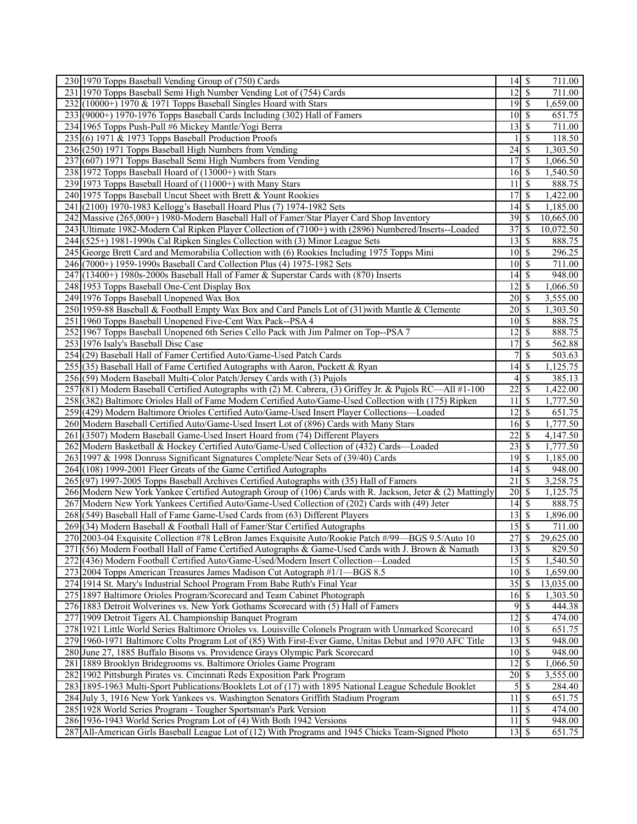| 230 1970 Topps Baseball Vending Group of (750) Cards                                                                                                               | $14 \overline{\smash{)}\,}$                          |                         | 711.00    |
|--------------------------------------------------------------------------------------------------------------------------------------------------------------------|------------------------------------------------------|-------------------------|-----------|
| 231 1970 Topps Baseball Semi High Number Vending Lot of (754) Cards                                                                                                | $\overline{12}$ \$                                   |                         | 711.00    |
| $232$ (10000+) 1970 & 1971 Topps Baseball Singles Hoard with Stars                                                                                                 |                                                      |                         | 1,659.00  |
| 233 (9000+) 1970-1976 Topps Baseball Cards Including (302) Hall of Famers                                                                                          | $10 \mid$ \$                                         |                         | 651.75    |
| 234 1965 Topps Push-Pull #6 Mickey Mantle/Yogi Berra                                                                                                               |                                                      |                         | 711.00    |
| $235(6)$ 1971 & 1973 Topps Baseball Production Proofs                                                                                                              |                                                      | $\vert$ \$              | 118.50    |
| 236(250) 1971 Topps Baseball High Numbers from Vending                                                                                                             |                                                      |                         | 1,303.50  |
| 237 (607) 1971 Topps Baseball Semi High Numbers from Vending                                                                                                       | 17S                                                  |                         | 1,066.50  |
| 238 1972 Topps Baseball Hoard of (13000+) with Stars                                                                                                               | $16 \mid$ \$                                         |                         | 1,540.50  |
| 239 1973 Topps Baseball Hoard of (11000+) with Many Stars                                                                                                          | 11                                                   | \$                      | 888.75    |
| 240 1975 Topps Baseball Uncut Sheet with Brett & Yount Rookies                                                                                                     | 17                                                   | <sup>\$</sup>           | 1,422.00  |
|                                                                                                                                                                    |                                                      |                         |           |
| 241 (2100) 1970-1983 Kellogg's Baseball Hoard Plus (7) 1974-1982 Sets<br>242 Massive (265,000+) 1980-Modern Baseball Hall of Famer/Star Player Card Shop Inventory |                                                      |                         | 1,185.00  |
|                                                                                                                                                                    |                                                      |                         | 10,665.00 |
| 243 Ultimate 1982-Modern Cal Ripken Player Collection of (7100+) with (2896) Numbered/Inserts--Loaded                                                              | 37S                                                  |                         | 10,072.50 |
| 244 (525+) 1981-1990s Cal Ripken Singles Collection with (3) Minor League Sets                                                                                     | $13 \mid$ \$                                         |                         | 888.75    |
| 245 George Brett Card and Memorabilia Collection with (6) Rookies Including 1975 Topps Mini                                                                        | $10 \mid$ \$                                         |                         | 296.25    |
| 246 (7000+) 1959-1990s Baseball Card Collection Plus (4) 1975-1982 Sets                                                                                            | $10 \mid$ \$                                         |                         | 711.00    |
| 247 (13400+) 1980s-2000s Baseball Hall of Famer & Superstar Cards with (870) Inserts                                                                               |                                                      |                         | 948.00    |
| 248 1953 Topps Baseball One-Cent Display Box                                                                                                                       | 12                                                   | $\overline{\mathbf{s}}$ | 1,066.50  |
| 249 1976 Topps Baseball Unopened Wax Box                                                                                                                           | $\overline{20}$ \$                                   |                         | 3,555.00  |
| 250 1959-88 Baseball & Football Empty Wax Box and Card Panels Lot of (31) with Mantle & Clemente                                                                   | $20 \mid$ \$                                         |                         | 1,303.50  |
| 251 1960 Topps Baseball Unopened Five-Cent Wax Pack--PSA 4                                                                                                         | $10 \mid$ \$                                         |                         | 888.75    |
| 252 1967 Topps Baseball Unopened 6th Series Cello Pack with Jim Palmer on Top--PSA 7                                                                               | $\overline{12}$ \$                                   |                         | 888.75    |
| 253 1976 Isaly's Baseball Disc Case                                                                                                                                | 17S                                                  |                         | 562.88    |
| 254 (29) Baseball Hall of Famer Certified Auto/Game-Used Patch Cards                                                                                               | $\overline{\mathcal{L}}$                             | \$                      | 503.63    |
| 255 (35) Baseball Hall of Fame Certified Autographs with Aaron, Puckett & Ryan                                                                                     | $\overline{14}$ \$                                   |                         | 1,125.75  |
| 256(59) Modern Baseball Multi-Color Patch/Jersey Cards with (3) Pujols                                                                                             |                                                      |                         | 385.13    |
| 257 (81) Modern Baseball Certified Autographs with (2) M. Cabrera, (3) Griffey Jr. & Pujols RC—All #1-100                                                          | 22                                                   | \$                      | 1,422.00  |
| 258(382) Baltimore Orioles Hall of Fame Modern Certified Auto/Game-Used Collection with (175) Ripken                                                               | 11                                                   | l \$                    | 1,777.50  |
| 259 (429) Modern Baltimore Orioles Certified Auto/Game-Used Insert Player Collections—Loaded                                                                       | $12 \mid$ \$                                         |                         | 651.75    |
| 260 Modern Baseball Certified Auto/Game-Used Insert Lot of (896) Cards with Many Stars                                                                             | $16 \overline{\smash{)}\,$ \$                        |                         | 1,777.50  |
| 261 (3507) Modern Baseball Game-Used Insert Hoard from (74) Different Players                                                                                      | 22                                                   | $\overline{\mathbf{s}}$ | 4,147.50  |
| 262 Modern Basketball & Hockey Certified Auto/Game-Used Collection of (432) Cards—Loaded                                                                           | $23\overline{3}$                                     |                         | 1,777.50  |
| 263 1997 & 1998 Donruss Significant Signatures Complete/Near Sets of (39/40) Cards                                                                                 |                                                      |                         | 1,185.00  |
| 264 (108) 1999-2001 Fleer Greats of the Game Certified Autographs                                                                                                  | $14 \,$ \$                                           |                         | 948.00    |
| 265 (97) 1997-2005 Topps Baseball Archives Certified Autographs with (35) Hall of Famers                                                                           | 21                                                   | l \$                    | 3,258.75  |
| 266 Modern New York Yankee Certified Autograph Group of (106) Cards with R. Jackson, Jeter & (2) Mattingly                                                         | $20\sqrt{3}$                                         |                         | 1,125.75  |
| 267 Modern New York Yankees Certified Auto/Game-Used Collection of (202) Cards with (49) Jeter                                                                     |                                                      |                         | 888.75    |
| 268 (549) Baseball Hall of Fame Game-Used Cards from (63) Different Players                                                                                        |                                                      |                         | 1,896.00  |
| 269 (34) Modern Baseball & Football Hall of Famer/Star Certified Autographs                                                                                        |                                                      |                         | 711.00    |
| 270 2003-04 Exquisite Collection #78 LeBron James Exquisite Auto/Rookie Patch #/99—BGS 9.5/Auto 10                                                                 | 27S                                                  |                         | 29,625.00 |
| 271 (56) Modern Football Hall of Fame Certified Autographs & Game-Used Cards with J. Brown & Namath                                                                | $13 \mid$ \$                                         |                         | 829.50    |
| 272 (436) Modern Football Certified Auto/Game-Used/Modern Insert Collection—Loaded                                                                                 | 15S                                                  |                         | 1,540.50  |
| 273 2004 Topps American Treasures James Madison Cut Autograph #1/1—BGS 8.5                                                                                         | $10 \overline{\smash{)}\,}$                          |                         | 1,659.00  |
| 274 1914 St. Mary's Industrial School Program From Babe Ruth's Final Year                                                                                          |                                                      |                         | 13,035.00 |
| 275 1897 Baltimore Orioles Program/Scorecard and Team Cabinet Photograph                                                                                           | $16 \mid$ \$                                         |                         | 1,303.50  |
| 276 1883 Detroit Wolverines vs. New York Gothams Scorecard with (5) Hall of Famers                                                                                 |                                                      |                         | 444.38    |
| 277 1909 Detroit Tigers AL Championship Banquet Program                                                                                                            | $\overline{12}$ \$                                   |                         | 474.00    |
| 278 1921 Little World Series Baltimore Orioles vs. Louisville Colonels Program with Unmarked Scorecard                                                             | $10 \mid S$                                          |                         | 651.75    |
| 279 1960-1971 Baltimore Colts Program Lot of (85) With First-Ever Game, Unitas Debut and 1970 AFC Title                                                            | $13 \overline{\smash{)}\,}$                          |                         | 948.00    |
| 280 June 27, 1885 Buffalo Bisons vs. Providence Grays Olympic Park Scorecard                                                                                       | $10 \mid$ \$                                         |                         | 948.00    |
| 281 1889 Brooklyn Bridegrooms vs. Baltimore Orioles Game Program                                                                                                   | $12 \mid$ \$                                         |                         | 1,066.50  |
| 282 1902 Pittsburgh Pirates vs. Cincinnati Reds Exposition Park Program                                                                                            | $20 \mid$ \$                                         |                         | 3,555.00  |
| 283 1895-1963 Multi-Sport Publications/Booklets Lot of (17) with 1895 National League Schedule Booklet                                                             |                                                      | $5\overline{3}$         | 284.40    |
| 284 July 3, 1916 New York Yankees vs. Washington Senators Griffith Stadium Program                                                                                 | 11S                                                  |                         | 651.75    |
| 285 1928 World Series Program - Tougher Sportsman's Park Version                                                                                                   | $11 \overline{\smash{\big\lceil} \mathsf{S} \rceil}$ |                         | 474.00    |
| 286 1936-1943 World Series Program Lot of (4) With Both 1942 Versions                                                                                              | $11 \mid$ \$                                         |                         | 948.00    |
| 287 All-American Girls Baseball League Lot of (12) With Programs and 1945 Chicks Team-Signed Photo                                                                 | $13 \mid S$                                          |                         | 651.75    |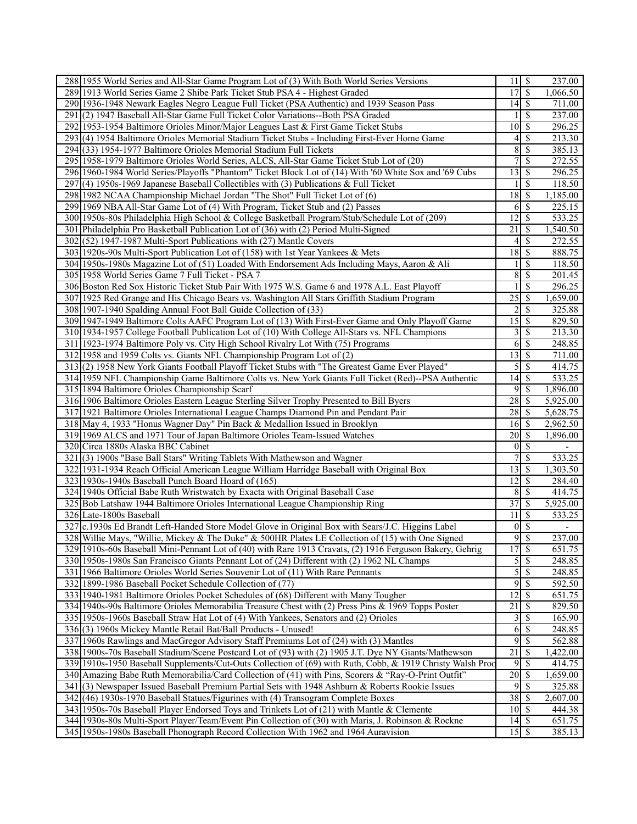| 288 1955 World Series and All-Star Game Program Lot of (3) With Both World Series Versions                 | $11 \overline{\smash{)}\,}$  |                          | 237.00                   |
|------------------------------------------------------------------------------------------------------------|------------------------------|--------------------------|--------------------------|
| 289 1913 World Series Game 2 Shibe Park Ticket Stub PSA 4 - Highest Graded                                 | 17                           | $\overline{\mathcal{S}}$ | 1,066.50                 |
| 290 1936-1948 Newark Eagles Negro League Full Ticket (PSA Authentic) and 1939 Season Pass                  |                              |                          | 711.00                   |
| (2) 1947 Baseball All-Star Game Full Ticket Color Variations--Both PSA Graded<br>291                       |                              | \$                       | 237.00                   |
| 292 1953-1954 Baltimore Orioles Minor/Major Leagues Last & First Game Ticket Stubs                         | $10$ $\sqrt{5}$              |                          | 296.25                   |
| 293 (4) 1954 Baltimore Orioles Memorial Stadium Ticket Stubs - Including First-Ever Home Game              |                              | $4$ \ $\sqrt{3}$         | 213.30                   |
| 294(33) 1954-1977 Baltimore Orioles Memorial Stadium Full Tickets                                          | 8                            | $\mathcal{S}$            | 385.13                   |
| 295 1958-1979 Baltimore Orioles World Series, ALCS, All-Star Game Ticket Stub Lot of (20)                  | 7                            | \$                       | 272.55                   |
| 296 1960-1984 World Series/Playoffs "Phantom" Ticket Block Lot of (14) With '60 White Sox and '69 Cubs     | $13 \mid$ \$                 |                          | 296.25                   |
| 297 (4) 1950s-1969 Japanese Baseball Collectibles with (3) Publications & Full Ticket                      |                              | $\mathcal{S}$            | 118.50                   |
| 298 1982 NCAA Championship Michael Jordan "The Shot" Full Ticket Lot of (6)                                | $18 \overline{\smash{)}\,5}$ |                          | 1,185.00                 |
| 299 1969 NBA All-Star Game Lot of (4) With Program, Ticket Stub and (2) Passes                             |                              | $6$ \ $\sqrt{3}$         | 225.15                   |
| 300 1950s-80s Philadelphia High School & College Basketball Program/Stub/Schedule Lot of (209)             | 12                           | l \$                     | 533.25                   |
| 301 Philadelphia Pro Basketball Publication Lot of (36) with (2) Period Multi-Signed                       | 21                           |                          | 1,540.50                 |
|                                                                                                            |                              | -\$                      |                          |
| 302(52) 1947-1987 Multi-Sport Publications with (27) Mantle Covers                                         | 4                            | \$                       | 272.55                   |
| 303 1920s-90s Multi-Sport Publication Lot of (158) with 1st Year Yankees & Mets                            | 18 \$                        |                          | 888.75                   |
| 304 1950s-1980s Magazine Lot of (51) Loaded With Endorsement Ads Including Mays, Aaron & Ali               |                              | \$                       | 118.50                   |
| 305 1958 World Series Game 7 Full Ticket - PSA 7                                                           | 8                            | $\overline{\mathcal{S}}$ | 201.45                   |
| 306 Boston Red Sox Historic Ticket Stub Pair With 1975 W.S. Game 6 and 1978 A.L. East Playoff              |                              | $\mathcal{S}$            | 296.25                   |
| 307 1925 Red Grange and His Chicago Bears vs. Washington All Stars Griffith Stadium Program                | $\overline{25}$              | $\sqrt{s}$               | 1,659.00                 |
| 308 1907-1940 Spalding Annual Foot Ball Guide Collection of (33)                                           | 2                            | $\overline{\mathcal{S}}$ | 325.88                   |
| 309 1947-1949 Baltimore Colts AAFC Program Lot of (13) With First-Ever Game and Only Playoff Game          | $15\overline{\smash{)}\,}$   |                          | 829.50                   |
| 310 1934-1957 College Football Publication Lot of (10) With College All-Stars vs. NFL Champions            |                              | $3\overline{3}$          | 213.30                   |
| 311 1923-1974 Baltimore Poly vs. City High School Rivalry Lot With (75) Programs                           |                              |                          | 248.85                   |
| 312 1958 and 1959 Colts vs. Giants NFL Championship Program Lot of (2)                                     | $13 \mid$ \$                 |                          | 711.00                   |
| 313(2) 1958 New York Giants Football Playoff Ticket Stubs with "The Greatest Game Ever Played"             |                              | $\sqrt{5}$               | 414.75                   |
| 314 1959 NFL Championship Game Baltimore Colts vs. New York Giants Full Ticket (Red)--PSA Authentic        | $14\overline{3}$             |                          | 533.25                   |
| 315 1894 Baltimore Orioles Championship Scarf                                                              | 9                            | - \$                     | 1,896.00                 |
| 316 1906 Baltimore Orioles Eastern League Sterling Silver Trophy Presented to Bill Byers                   | 28                           | l \$                     | 5,925.00                 |
| 317 1921 Baltimore Orioles International League Champs Diamond Pin and Pendant Pair                        | $28 \mid$ \$                 |                          | 5,628.75                 |
| 318 May 4, 1933 "Honus Wagner Day" Pin Back & Medallion Issued in Brooklyn                                 | $16 \mid S$                  |                          | 2,962.50                 |
| 319 1969 ALCS and 1971 Tour of Japan Baltimore Orioles Team-Issued Watches                                 | $20 \mid$ \$                 |                          | 1,896.00                 |
| 320 Circa 1880s Alaska BBC Cabinet                                                                         |                              | $0\sqrt{S}$              | $\overline{\phantom{a}}$ |
| 321(3) 1900s "Base Ball Stars" Writing Tablets With Mathewson and Wagner                                   | 7                            | $\mathbb{S}$             | 533.25                   |
| 322 1931-1934 Reach Official American League William Harridge Baseball with Original Box                   | $13 \mid$ \$                 |                          | 1,303.50                 |
| 323 1930s-1940s Baseball Punch Board Hoard of (165)                                                        | $\overline{12}$ \$           |                          | 284.40                   |
| 324 1940s Official Babe Ruth Wristwatch by Exacta with Original Baseball Case                              |                              | $8 \mid S$               | 414.75                   |
| 325 Bob Latshaw 1944 Baltimore Orioles International League Championship Ring                              | 37S                          |                          | 5,925.00                 |
| 326 Late-1800s Baseball                                                                                    | 11                           | $\overline{\mathcal{S}}$ | 533.25                   |
| 327 c.1930s Ed Brandt Left-Handed Store Model Glove in Original Box with Sears/J.C. Higgins Label          |                              | $0 \mid \mathsf{S}$      |                          |
| 328 Willie Mays, "Willie, Mickey & The Duke" & 500HR Plates LE Collection of (15) with One Signed          |                              | 9s                       | 237.00                   |
| 329 1910s-60s Baseball Mini-Pennant Lot of (40) with Rare 1913 Cravats, (2) 1916 Ferguson Bakery, Gehrig   | 17S                          |                          | 651.75                   |
| 330 1950s-1980s San Francisco Giants Pennant Lot of (24) Different with (2) 1962 NL Champs                 | $\mathcal{S}$                | $\overline{\mathcal{S}}$ | 248.85                   |
| 331 1966 Baltimore Orioles World Series Souvenir Lot of (11) With Rare Pennants                            |                              | 5S                       | 248.85                   |
| 332 1899-1986 Baseball Pocket Schedule Collection of (77)                                                  | 9                            | \$                       | 592.50                   |
| 333 1940-1981 Baltimore Orioles Pocket Schedules of (68) Different with Many Tougher                       | 12                           | -\$                      | 651.75                   |
| 334 1940s-90s Baltimore Orioles Memorabilia Treasure Chest with (2) Press Pins & 1969 Topps Poster         | $\overline{21}$              | \$                       | 829.50                   |
| 335 1950s-1960s Baseball Straw Hat Lot of (4) With Yankees, Senators and (2) Orioles                       | $\overline{3}$               | $\overline{\mathcal{S}}$ | 165.90                   |
| 336(3) 1960s Mickey Mantle Retail Bat/Ball Products - Unused!                                              | 6                            | $\overline{\mathcal{S}}$ | 248.85                   |
| 337 1960s Rawlings and MacGregor Advisory Staff Premiums Lot of (24) with (3) Mantles                      |                              | 9S                       | 562.88                   |
| 338 1900s-70s Baseball Stadium/Scene Postcard Lot of (93) with (2) 1905 J.T. Dye NY Giants/Mathewson       | 21                           | \$                       | 1,422.00                 |
| 339 1910s-1950 Baseball Supplements/Cut-Outs Collection of (69) with Ruth, Cobb, & 1919 Christy Walsh Proc | $\overline{9}$               | -\$                      | 414.75                   |
| 340 Amazing Babe Ruth Memorabilia/Card Collection of (41) with Pins, Scorers & "Ray-O-Print Outfit"        | $20 \mid \text{\$}$          |                          | 1,659.00                 |
| 341 (3) Newspaper Issued Baseball Premium Partial Sets with 1948 Ashburn & Roberts Rookie Issues           |                              | 95                       | 325.88                   |
| 342 (46) 1930s-1970 Baseball Statues/Figurines with (4) Transogram Complete Boxes                          | 38S                          |                          | 2,607.00                 |
| 343 1950s-70s Baseball Player Endorsed Toys and Trinkets Lot of (21) with Mantle & Clemente                | $10 \mid$ \$                 |                          | 444.38                   |
| 344 1930s-80s Multi-Sport Player/Team/Event Pin Collection of (30) with Maris, J. Robinson & Rockne        | $14 \overline{\smash{)}\,}$  |                          |                          |
|                                                                                                            |                              |                          | 651.75                   |
| 345 1950s-1980s Baseball Phonograph Record Collection With 1962 and 1964 Auravision                        |                              |                          | 385.13                   |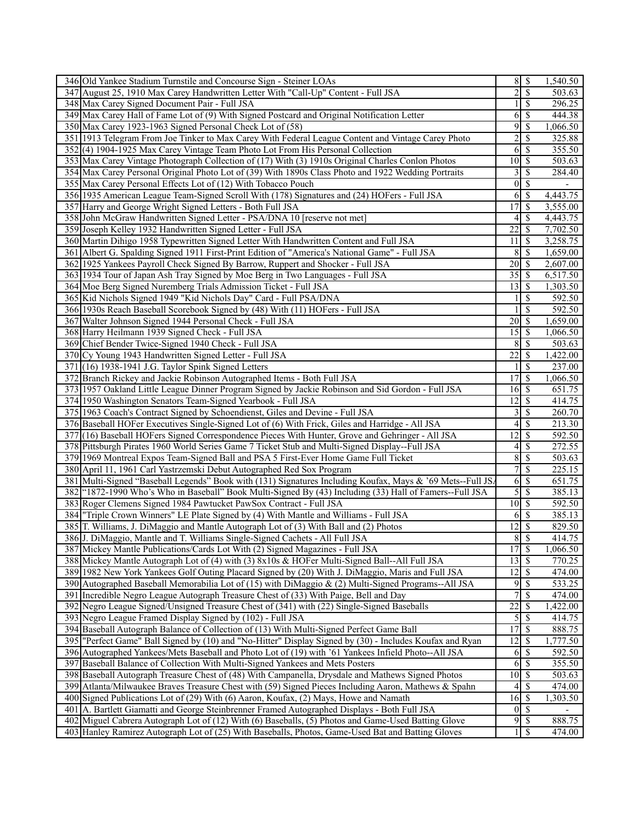| 346 Old Yankee Stadium Turnstile and Concourse Sign - Steiner LOAs                                                                    |                                  | $8 \mid S$               | 1,540.50 |
|---------------------------------------------------------------------------------------------------------------------------------------|----------------------------------|--------------------------|----------|
| 347 August 25, 1910 Max Carey Handwritten Letter With "Call-Up" Content - Full JSA                                                    | $\overline{2}$                   | $\overline{\mathcal{S}}$ | 503.63   |
| 348 Max Carey Signed Document Pair - Full JSA                                                                                         |                                  | $\overline{\mathcal{S}}$ | 296.25   |
| 349 Max Carey Hall of Fame Lot of (9) With Signed Postcard and Original Notification Letter                                           | 6                                | \$                       | 444.38   |
| 350 Max Carey 1923-1963 Signed Personal Check Lot of (58)                                                                             | 9                                | \$                       | 1,066.50 |
| 351 1913 Telegram From Joe Tinker to Max Carey With Federal League Content and Vintage Carey Photo                                    | $\overline{c}$                   | <sup>\$</sup>            | 325.88   |
| 352(4) 1904-1925 Max Carey Vintage Team Photo Lot From His Personal Collection                                                        |                                  | $6\overline{3}$          | 355.50   |
| 353 Max Carey Vintage Photograph Collection of (17) With (3) 1910s Original Charles Conlon Photos                                     | $10$ $\sqrt{5}$                  |                          | 503.63   |
| 354 Max Carey Personal Original Photo Lot of (39) With 1890s Class Photo and 1922 Wedding Portraits                                   |                                  | $3\overline{3}$          | 284.40   |
| 355 Max Carey Personal Effects Lot of (12) With Tobacco Pouch                                                                         |                                  | $0 \mid S$               |          |
| 356 1935 American League Team-Signed Scroll With (178) Signatures and (24) HOFers - Full JSA                                          | 6                                | \$                       | 4,443.75 |
| 357 Harry and George Wright Signed Letters - Both Full JSA                                                                            | 17S                              |                          | 3,555.00 |
| 358 John McGraw Handwritten Signed Letter - PSA/DNA 10 [reserve not met]                                                              | 4                                | \$                       | 4,443.75 |
| 359 Joseph Kelley 1932 Handwritten Signed Letter - Full JSA                                                                           | 22                               | -\$                      | 7,702.50 |
| 360 Martin Dihigo 1958 Typewritten Signed Letter With Handwritten Content and Full JSA                                                | 11                               | S                        | 3,258.75 |
| 361 Albert G. Spalding Signed 1911 First-Print Edition of "America's National Game" - Full JSA                                        | 8                                | \$                       | 1,659.00 |
|                                                                                                                                       | $20$   \$                        |                          | 2,607.00 |
| 362 1925 Yankees Payroll Check Signed By Barrow, Ruppert and Shocker - Full JSA                                                       | $35 \overline{\smash{\big)}\ 5}$ |                          | 6,517.50 |
| 363 1934 Tour of Japan Ash Tray Signed by Moe Berg in Two Languages - Full JSA                                                        | $\overline{13}$ \$               |                          | 1,303.50 |
| 364 Moe Berg Signed Nuremberg Trials Admission Ticket - Full JSA<br>365 Kid Nichols Signed 1949 "Kid Nichols Day" Card - Full PSA/DNA |                                  | \$                       | 592.50   |
| 366 1930s Reach Baseball Scorebook Signed by (48) With (11) HOFers - Full JSA                                                         |                                  | $\overline{\mathcal{S}}$ | 592.50   |
| 367 Walter Johnson Signed 1944 Personal Check - Full JSA                                                                              | $20 \mid$ \$                     |                          | 1,659.00 |
| 368 Harry Heilmann 1939 Signed Check - Full JSA                                                                                       |                                  |                          | 1,066.50 |
| 369 Chief Bender Twice-Signed 1940 Check - Full JSA                                                                                   |                                  | $8\sqrt{5}$              | 503.63   |
| 370 Cy Young 1943 Handwritten Signed Letter - Full JSA                                                                                | 22                               | <sup>\$</sup>            | 1,422.00 |
| 371 (16) 1938-1941 J.G. Taylor Spink Signed Letters                                                                                   |                                  | $\overline{\mathcal{S}}$ | 237.00   |
| 372 Branch Rickey and Jackie Robinson Autographed Items - Both Full JSA                                                               | 17                               | l \$                     | 1,066.50 |
| 373 1957 Oakland Little League Dinner Program Signed by Jackie Robinson and Sid Gordon - Full JSA                                     | $16 \mid$ \$                     |                          | 651.75   |
| 374 1950 Washington Senators Team-Signed Yearbook - Full JSA                                                                          | $12 \mid$ \$                     |                          | 414.75   |
| 375 1963 Coach's Contract Signed by Schoendienst, Giles and Devine - Full JSA                                                         | $\overline{3}$                   | l \$                     | 260.70   |
| 376 Baseball HOFer Executives Single-Signed Lot of (6) With Frick, Giles and Harridge - All JSA                                       | 4                                | <sup>\$</sup>            | 213.30   |
| 377 (16) Baseball HOFers Signed Correspondence Pieces With Hunter, Grove and Gehringer - All JSA                                      | 12                               | \$                       | 592.50   |
| 378 Pittsburgh Pirates 1960 World Series Game 7 Ticket Stub and Multi-Signed Display--Full JSA                                        | 4 <sup>1</sup>                   | $\overline{\mathcal{S}}$ | 272.55   |
| 379 1969 Montreal Expos Team-Signed Ball and PSA 5 First-Ever Home Game Full Ticket                                                   | 8                                | -\$                      | 503.63   |
| 380 April 11, 1961 Carl Yastrzemski Debut Autographed Red Sox Program                                                                 | 7                                | $\mathbf{\$}$            | 225.15   |
| 381 Multi-Signed "Baseball Legends" Book with (131) Signatures Including Koufax, Mays & '69 Mets--Full JS.                            |                                  | 6S                       | 651.75   |
| 382 (1872-1990 Who's Who in Baseball" Book Multi-Signed By (43) Including (33) Hall of Famers--Full JSA                               |                                  | 5s                       | 385.13   |
| 383 Roger Clemens Signed 1984 Pawtucket PawSox Contract - Full JSA                                                                    | $\overline{10}$ \$               |                          | 592.50   |
| 384 Triple Crown Winners" LE Plate Signed by (4) With Mantle and Williams - Full JSA                                                  | 6                                | \$                       | 385.13   |
| 385 T. Williams, J. DiMaggio and Mantle Autograph Lot of (3) With Ball and (2) Photos                                                 | $\overline{12}$ \$               |                          | 829.50   |
| 386 J. DiMaggio, Mantle and T. Williams Single-Signed Cachets - All Full JSA                                                          |                                  | 8S                       | 414.75   |
| 387 Mickey Mantle Publications/Cards Lot With (2) Signed Magazines - Full JSA                                                         | 17S                              |                          | 1,066.50 |
| 388 Mickey Mantle Autograph Lot of (4) with (3) 8x10s & HOFer Multi-Signed Ball--All Full JSA                                         | $13 \mid$ \$                     |                          | 770.25   |
| 389 1982 New York Yankees Golf Outing Placard Signed by (20) With J. DiMaggio, Maris and Full JSA                                     | $\overline{12}$ \$               |                          | 474.00   |
| 390 Autographed Baseball Memorabilia Lot of (15) with DiMaggio & (2) Multi-Signed Programs--All JSA                                   | 9                                | $\mathcal{S}$            | 533.25   |
| 391 Incredible Negro League Autograph Treasure Chest of (33) With Paige, Bell and Day                                                 | 7                                | \$                       | 474.00   |
| 392 Negro League Signed/Unsigned Treasure Chest of (341) with (22) Single-Signed Baseballs                                            | $\overline{22}$                  | $\mathbb{S}$             | 1,422.00 |
| 393 Negro League Framed Display Signed by (102) - Full JSA                                                                            | 5                                | $\sqrt{s}$               | 414.75   |
| 394 Baseball Autograph Balance of Collection of (13) With Multi-Signed Perfect Game Ball                                              | 17                               | $\sqrt{s}$               | 888.75   |
| 395 "Perfect Game" Ball Signed by (10) and "No-Hitter" Display Signed by (30) - Includes Koufax and Ryan                              | $12 \mid$ \$                     |                          | 1,777.50 |
| 396 Autographed Yankees/Mets Baseball and Photo Lot of (19) with '61 Yankees Infield Photo--All JSA                                   |                                  | $6\overline{)}$          | 592.50   |
| 397 Baseball Balance of Collection With Multi-Signed Yankees and Mets Posters                                                         |                                  | $6 \mid$ \$              | 355.50   |
| 398 Baseball Autograph Treasure Chest of (48) With Campanella, Drysdale and Mathews Signed Photos                                     | $10 \mid S$                      |                          | 503.63   |
| 399 Atlanta/Milwaukee Braves Treasure Chest with (59) Signed Pieces Including Aaron, Mathews & Spahn                                  |                                  | 4S                       | 474.00   |
| 400 Signed Publications Lot of (29) With (6) Aaron, Koufax, (2) Mays, Howe and Namath                                                 | $16$ \$                          |                          | 1,303.50 |
| 401 A. Bartlett Giamatti and George Steinbrenner Framed Autographed Displays - Both Full JSA                                          |                                  | $0 \mid \mathsf{S}$      |          |
| 402 Miguel Cabrera Autograph Lot of (12) With (6) Baseballs, (5) Photos and Game-Used Batting Glove                                   |                                  | 9s                       | 888.75   |
| 403 Hanley Ramirez Autograph Lot of (25) With Baseballs, Photos, Game-Used Bat and Batting Gloves                                     | 1                                | $\overline{\mathcal{S}}$ | 474.00   |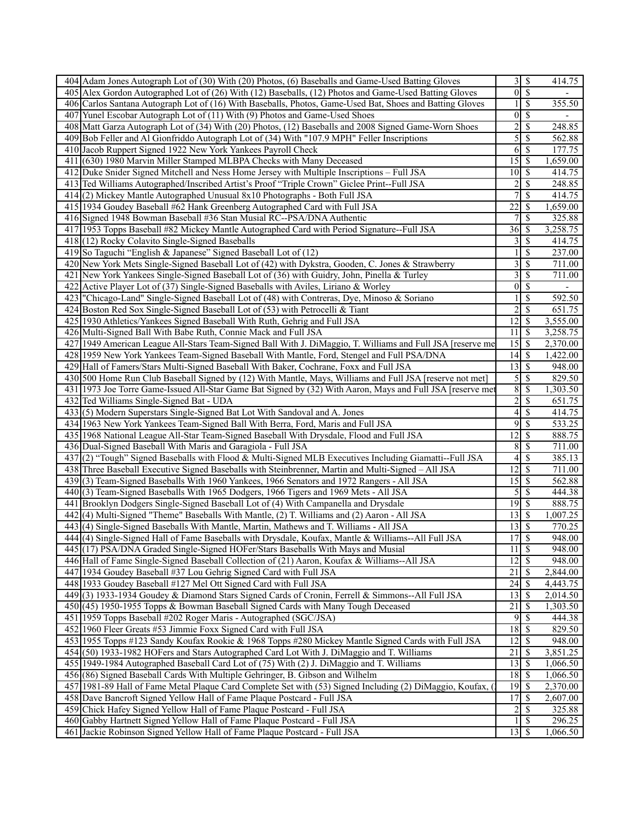| 404 Adam Jones Autograph Lot of (30) With (20) Photos, (6) Baseballs and Game-Used Batting Gloves                                                     | $\overline{3}$               | $\overline{\mathcal{S}}$ | 414.75                |
|-------------------------------------------------------------------------------------------------------------------------------------------------------|------------------------------|--------------------------|-----------------------|
| 405 Alex Gordon Autographed Lot of (26) With (12) Baseballs, (12) Photos and Game-Used Batting Gloves                                                 | $\overline{0}$               | $\overline{\mathcal{S}}$ |                       |
| 406 Carlos Santana Autograph Lot of (16) With Baseballs, Photos, Game-Used Bat, Shoes and Batting Gloves                                              | $\mathbf{1}$                 | $\mathbb{S}$             | 355.50                |
| 407 Yunel Escobar Autograph Lot of (11) With (9) Photos and Game-Used Shoes                                                                           | 0                            | $\mathbb{S}$             |                       |
| 408 Matt Garza Autograph Lot of (34) With (20) Photos, (12) Baseballs and 2008 Signed Game-Worn Shoes                                                 | $\overline{c}$               | \$                       | 248.85                |
| 409 Bob Feller and Al Gionfriddo Autograph Lot of (34) With "107.9 MPH" Feller Inscriptions                                                           | 5                            | \$                       | 562.88                |
|                                                                                                                                                       | $6\overline{6}$              |                          |                       |
| 410 Jacob Ruppert Signed 1922 New York Yankees Payroll Check                                                                                          |                              | \$                       | 177.75                |
| 411 (630) 1980 Marvin Miller Stamped MLBPA Checks with Many Deceased                                                                                  | 15                           | -S                       | 1,659.00              |
| 412 Duke Snider Signed Mitchell and Ness Home Jersey with Multiple Inscriptions - Full JSA                                                            | 10                           | $\mathbb{S}$             | 414.75                |
| 413 Ted Williams Autographed/Inscribed Artist's Proof "Triple Crown" Giclee Print--Full JSA                                                           | $\overline{c}$               | \$                       | 248.85                |
| 414(2) Mickey Mantle Autographed Unusual 8x10 Photographs - Both Full JSA                                                                             | $\overline{7}$               | \$                       | 414.75                |
| 415 1934 Goudey Baseball #62 Hank Greenberg Autographed Card with Full JSA                                                                            | $\overline{22}$              | \$                       | 1,659.00              |
| 416 Signed 1948 Bowman Baseball #36 Stan Musial RC--PSA/DNA Authentic                                                                                 | $\overline{7}$               | <sup>\$</sup>            | 325.88                |
| 417 1953 Topps Baseball #82 Mickey Mantle Autographed Card with Period Signature--Full JSA                                                            | 36                           | S                        | 3,258.75              |
| 418 (12) Rocky Colavito Single-Signed Baseballs                                                                                                       | $3\vert$                     | $\mathbb{S}$             | 414.75                |
| 419 So Taguchi "English & Japanese" Signed Baseball Lot of (12)                                                                                       | $\mathbf{1}$                 | \$                       | 237.00                |
| 420 New York Mets Single-Signed Baseball Lot of (42) with Dykstra, Gooden, C. Jones & Strawberry                                                      | $\overline{\mathbf{3}}$      | \$                       | 711.00                |
| 421 New York Yankees Single-Signed Baseball Lot of (36) with Guidry, John, Pinella & Turley                                                           | $\overline{3}$               | \$                       | 711.00                |
| 422 Active Player Lot of (37) Single-Signed Baseballs with Aviles, Liriano & Worley                                                                   | $\overline{0}$               | \$                       |                       |
| 423   "Chicago-Land" Single-Signed Baseball Lot of (48) with Contreras, Dye, Minoso & Soriano                                                         | $\mathbf{1}$                 | $\mathbb{S}$             | 592.50                |
| 424 Boston Red Sox Single-Signed Baseball Lot of (53) with Petrocelli & Tiant                                                                         | $\overline{c}$               | $\mathcal{S}$            | 651.75                |
|                                                                                                                                                       |                              |                          |                       |
| 425 1930 Athletics/Yankees Signed Baseball With Ruth, Gehrig and Full JSA                                                                             | 12                           | $\mathcal{S}$            | 3,555.00              |
| 426 Multi-Signed Ball With Babe Ruth, Connie Mack and Full JSA                                                                                        | 11                           | \$                       | 3,258.75              |
| 427 1949 American League All-Stars Team-Signed Ball With J. DiMaggio, T. Williams and Full JSA [reserve me                                            | 15                           | -S                       | 2,370.00              |
| 428 1959 New York Yankees Team-Signed Baseball With Mantle, Ford, Stengel and Full PSA/DNA                                                            | 14                           | $\mathbb{S}$             | 1,422.00              |
| 429 Hall of Famers/Stars Multi-Signed Baseball With Baker, Cochrane, Foxx and Full JSA                                                                | $\overline{13}$              | $\mathbb{S}$             | 948.00                |
| 430 500 Home Run Club Baseball Signed by (12) With Mantle, Mays, Williams and Full JSA [reserve not met]                                              |                              | $5\sqrt{3}$              | 829.50                |
| 431 1973 Joe Torre Game-Issued All-Star Game Bat Signed by (32) With Aaron, Mays and Full JSA [reserve me                                             | 8                            | \$                       | 1,303.50              |
| 432 Ted Williams Single-Signed Bat - UDA                                                                                                              | $\overline{c}$               | \$                       | 651.75                |
| 433(5) Modern Superstars Single-Signed Bat Lot With Sandoval and A. Jones                                                                             | $\vert 4 \vert$              |                          |                       |
|                                                                                                                                                       |                              | \$                       | 414.75                |
|                                                                                                                                                       | 9                            | \$                       |                       |
| 434 1963 New York Yankees Team-Signed Ball With Berra, Ford, Maris and Full JSA                                                                       |                              |                          | 533.25                |
| 435 1968 National League All-Star Team-Signed Baseball With Drysdale, Flood and Full JSA                                                              | 12                           | \$                       | 888.75                |
| 436 Dual-Signed Baseball With Maris and Garagiola - Full JSA                                                                                          | 8                            | $\mathbb{S}$             | 711.00                |
| 437 (2) "Tough" Signed Baseballs with Flood & Multi-Signed MLB Executives Including Giamatti--Full JSA                                                | $\overline{4}$               | \$                       | 385.13                |
| 438 Three Baseball Executive Signed Baseballs with Steinbrenner, Martin and Multi-Signed - All JSA                                                    | 12                           | \$                       | 711.00                |
| 439(3) Team-Signed Baseballs With 1960 Yankees, 1966 Senators and 1972 Rangers - All JSA                                                              | 15                           | \$                       | 562.88                |
| 440 (3) Team-Signed Baseballs With 1965 Dodgers, 1966 Tigers and 1969 Mets - All JSA                                                                  | 5                            | \$                       | 444.38                |
| 441 Brooklyn Dodgers Single-Signed Baseball Lot of (4) With Campanella and Drysdale                                                                   | $\overline{19}$ \$           |                          | 888.75                |
| 442 (4) Multi-Signed "Theme" Baseballs With Mantle, (2) T. Williams and (2) Aaron - All JSA                                                           | 13                           | \$                       | 1,007.25              |
| 443 (4) Single-Signed Baseballs With Mantle, Martin, Mathews and T. Williams - All JSA                                                                | 13                           | \$                       | 770.25                |
| 444 (4) Single-Signed Hall of Fame Baseballs with Drysdale, Koufax, Mantle & Williams--All Full JSA                                                   | 17S                          |                          | 948.00                |
| 445 (17) PSA/DNA Graded Single-Signed HOFer/Stars Baseballs With Mays and Musial                                                                      | 11S                          |                          | 948.00                |
| 446 Hall of Fame Single-Signed Baseball Collection of (21) Aaron, Koufax & Williams--All JSA                                                          | 12                           | $\overline{\mathcal{S}}$ | 948.00                |
| 447 1934 Goudey Baseball #37 Lou Gehrig Signed Card with Full JSA                                                                                     | $\overline{21}$              | S                        | 2,844.00              |
| 448 1933 Goudey Baseball #127 Mel Ott Signed Card with Full JSA                                                                                       | 24                           | \$                       | $\overline{4,}443.75$ |
| 449(3) 1933-1934 Goudey & Diamond Stars Signed Cards of Cronin, Ferrell & Simmons--All Full JSA                                                       | 13                           | \$.                      | 2,014.50              |
| 450 (45) 1950-1955 Topps & Bowman Baseball Signed Cards with Many Tough Deceased                                                                      | 21                           | \$                       | 1,303.50              |
| 451 1959 Topps Baseball #202 Roger Maris - Autographed (SGC/JSA)                                                                                      | 9                            | \$                       | 444.38                |
| 452 1960 Fleer Greats #53 Jimmie Foxx Signed Card with Full JSA                                                                                       | $18$ $\sqrt{5}$              |                          | 829.50                |
|                                                                                                                                                       | 12                           | $\mathbb{S}$             |                       |
| 453 1955 Topps #123 Sandy Koufax Rookie & 1968 Topps #280 Mickey Mantle Signed Cards with Full JSA                                                    |                              | S                        | 948.00                |
| 454 (50) 1933-1982 HOFers and Stars Autographed Card Lot With J. DiMaggio and T. Williams                                                             | 21                           |                          | 3,851.25              |
| 455 1949-1984 Autographed Baseball Card Lot of (75) With (2) J. DiMaggio and T. Williams                                                              | 13                           | \$                       | 1,066.50              |
| 456 (86) Signed Baseball Cards With Multiple Gehringer, B. Gibson and Wilhelm                                                                         | 18                           | <sup>\$</sup>            | 1,066.50              |
| 457 1981-89 Hall of Fame Metal Plaque Card Complete Set with (53) Signed Including (2) DiMaggio, Koufax,                                              | 19                           | S                        | 2,370.00              |
| 458 Dave Bancroft Signed Yellow Hall of Fame Plaque Postcard - Full JSA                                                                               | 17                           | S                        | 2,607.00              |
| 459 Chick Hafey Signed Yellow Hall of Fame Plaque Postcard - Full JSA                                                                                 | $\overline{2}$               | $\mathbb{S}$             | 325.88                |
| 460 Gabby Hartnett Signed Yellow Hall of Fame Plaque Postcard - Full JSA<br>461 Jackie Robinson Signed Yellow Hall of Fame Plaque Postcard - Full JSA | $\mathbf{1}$<br>$13 \mid$ \$ | <sup>\$</sup>            | 296.25<br>1,066.50    |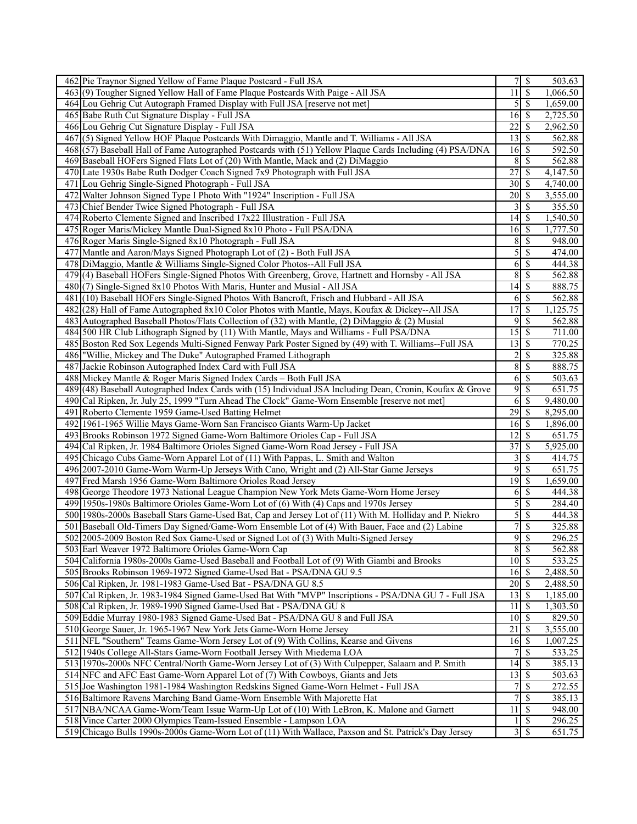| 462 Pie Traynor Signed Yellow of Fame Plaque Postcard - Full JSA                                                                                                                                   |                             |                            | 503.63               |
|----------------------------------------------------------------------------------------------------------------------------------------------------------------------------------------------------|-----------------------------|----------------------------|----------------------|
| 463(9) Tougher Signed Yellow Hall of Fame Plaque Postcards With Paige - All JSA                                                                                                                    | $11\overline{1}$            |                            | 1,066.50             |
| 464 Lou Gehrig Cut Autograph Framed Display with Full JSA [reserve not met]                                                                                                                        |                             | $5 \overline{\smash{)}\,}$ | 1,659.00             |
| 465 Babe Ruth Cut Signature Display - Full JSA                                                                                                                                                     | $16 \mid$ \$                |                            | 2,725.50             |
| 466 Lou Gehrig Cut Signature Display - Full JSA                                                                                                                                                    |                             |                            | 2,962.50             |
| 467(5) Signed Yellow HOF Plaque Postcards With Dimaggio, Mantle and T. Williams - All JSA                                                                                                          | $13 \mid$ \$                |                            | 562.88               |
| 468 (57) Baseball Hall of Fame Autographed Postcards with (51) Yellow Plaque Cards Including (4) PSA/DNA                                                                                           | $16 \mid$ \$                |                            | 592.50               |
| 469 Baseball HOFers Signed Flats Lot of (20) With Mantle, Mack and (2) DiMaggio                                                                                                                    |                             | 8S                         | 562.88               |
| Late 1930s Babe Ruth Dodger Coach Signed 7x9 Photograph with Full JSA<br>470                                                                                                                       | 27                          | \$                         | 4,147.50             |
| 471<br>Lou Gehrig Single-Signed Photograph - Full JSA                                                                                                                                              | $30 \mid$ \$                |                            | 4,740.00             |
| 472 Walter Johnson Signed Type I Photo With "1924" Inscription - Full JSA                                                                                                                          |                             |                            | 3,555.00             |
| 473 Chief Bender Twice Signed Photograph - Full JSA                                                                                                                                                | 3 <sup>1</sup>              | \$                         | 355.50               |
| 474 Roberto Clemente Signed and Inscribed 17x22 Illustration - Full JSA                                                                                                                            |                             |                            | 1,540.50             |
| 475 Roger Maris/Mickey Mantle Dual-Signed 8x10 Photo - Full PSA/DNA                                                                                                                                | $16\overline{\smash{)}\,}$  |                            | 1,777.50             |
| 476 Roger Maris Single-Signed 8x10 Photograph - Full JSA                                                                                                                                           | 8                           | \$                         | 948.00               |
| 477 Mantle and Aaron/Mays Signed Photograph Lot of (2) - Both Full JSA                                                                                                                             | $\overline{5}$              | \$                         | 474.00               |
| 478 DiMaggio, Mantle & Williams Single-Signed Color Photos--All Full JSA                                                                                                                           | $6\vert$                    | $\mathbb{S}$               | 444.38               |
| 479(4) Baseball HOFers Single-Signed Photos With Greenberg, Grove, Hartnett and Hornsby - All JSA                                                                                                  |                             | 8S                         | 562.88               |
| 480 (7) Single-Signed 8x10 Photos With Maris, Hunter and Musial - All JSA                                                                                                                          | $14 \overline{\smash{)}\,}$ |                            | 888.75               |
| 481<br>(10) Baseball HOFers Single-Signed Photos With Bancroft, Frisch and Hubbard - All JSA                                                                                                       |                             | $6 \overline{\smash{)}\,}$ | 562.88               |
|                                                                                                                                                                                                    | 17                          | \$                         |                      |
| 482 (28) Hall of Fame Autographed 8x10 Color Photos with Mantle, Mays, Koufax & Dickey--All JSA<br>483 Autographed Baseball Photos/Flats Collection of (32) with Mantle, (2) DiMaggio & (2) Musial |                             | $9$ \ $\frac{1}{3}$        | 1,125.75             |
|                                                                                                                                                                                                    | $15 \overline{\smash{)}\,}$ |                            | 562.88               |
| 484 500 HR Club Lithograph Signed by (11) With Mantle, Mays and Williams - Full PSA/DNA                                                                                                            | $13 \mid S$                 |                            | 711.00               |
| 485 Boston Red Sox Legends Multi-Signed Fenway Park Poster Signed by (49) with T. Williams--Full JSA                                                                                               |                             |                            | 770.25               |
| 486 Willie, Mickey and The Duke" Autographed Framed Lithograph<br>Jackie Robinson Autographed Index Card with Full JSA                                                                             |                             | $2 \overline{3}$           | 325.88               |
| 487                                                                                                                                                                                                | 8                           | \$                         | 888.75               |
| 488 Mickey Mantle & Roger Maris Signed Index Cards - Both Full JSA                                                                                                                                 | <sup>6</sup>                | \$                         | 503.63               |
| 489 (48) Baseball Autographed Index Cards with (15) Individual JSA Including Dean, Cronin, Koufax & Grove                                                                                          | $\overline{9}$              | \$                         | 651.75               |
| 490 Cal Ripken, Jr. July 25, 1999 "Turn Ahead The Clock" Game-Worn Ensemble [reserve not met]                                                                                                      | 6 <sup>1</sup>              | <sup>\$</sup>              | 9,480.00             |
| 491 Roberto Clemente 1959 Game-Used Batting Helmet<br>492<br>1961-1965 Willie Mays Game-Worn San Francisco Giants Warm-Up Jacket                                                                   | $16 \mid$ \$                |                            | 8,295.00<br>1,896.00 |
| 493 Brooks Robinson 1972 Signed Game-Worn Baltimore Orioles Cap - Full JSA                                                                                                                         | $12 \mid$ \$                |                            | 651.75               |
| 494 Cal Ripken, Jr. 1984 Baltimore Orioles Signed Game-Worn Road Jersey - Full JSA                                                                                                                 | 37                          | \$                         | 5,925.00             |
| 495 Chicago Cubs Game-Worn Apparel Lot of (11) With Pappas, L. Smith and Walton                                                                                                                    |                             | $3\overline{3}$            | 414.75               |
| 496 2007-2010 Game-Worn Warm-Up Jerseys With Cano, Wright and (2) All-Star Game Jerseys                                                                                                            |                             | 95                         | 651.75               |
| 497 Fred Marsh 1956 Game-Worn Baltimore Orioles Road Jersey                                                                                                                                        | 19                          | \$                         | 1,659.00             |
| 498<br>George Theodore 1973 National League Champion New York Mets Game-Worn Home Jersey                                                                                                           |                             | $6\overline{)}$            | 444.38               |
| 499<br>1950s-1980s Baltimore Orioles Game-Worn Lot of (6) With (4) Caps and 1970s Jersey                                                                                                           | $\overline{5}$              | $\mathbb{S}$               | 284.40               |
| 500 1980s-2000s Baseball Stars Game-Used Bat, Cap and Jersey Lot of (11) With M. Holliday and P. Niekro                                                                                            | $\mathcal{S}$               | \$                         | 444.38               |
| 501 Baseball Old-Timers Day Signed/Game-Worn Ensemble Lot of (4) With Bauer, Face and (2) Labine                                                                                                   |                             | 7s                         | 325.88               |
| 502 2005-2009 Boston Red Sox Game-Used or Signed Lot of (3) With Multi-Signed Jersey                                                                                                               |                             | 9S                         | 296.25               |
| 503 Earl Weaver 1972 Baltimore Orioles Game-Worn Cap                                                                                                                                               |                             | $8 \mid S$                 | 562.88               |
| 504 California 1980s-2000s Game-Used Baseball and Football Lot of (9) With Giambi and Brooks                                                                                                       | $10 \mid S$                 |                            | 533.25               |
| 505 Brooks Robinson 1969-1972 Signed Game-Used Bat - PSA/DNA GU 9.5                                                                                                                                | $16 \overline{\smash{)}\,}$ |                            | 2,488.50             |
| 506 Cal Ripken, Jr. 1981-1983 Game-Used Bat - PSA/DNA GU 8.5                                                                                                                                       | $20 \mid$ \$                |                            | 2,488.50             |
| 507 Cal Ripken, Jr. 1983-1984 Signed Game-Used Bat With "MVP" Inscriptions - PSA/DNA GU 7 - Full JSA                                                                                               | $13 \mid$ \$                |                            | 1,185.00             |
| 508 Cal Ripken, Jr. 1989-1990 Signed Game-Used Bat - PSA/DNA GU 8                                                                                                                                  | 11                          | $\overline{\mathbf{s}}$    | 1,303.50             |
| 509 Eddie Murray 1980-1983 Signed Game-Used Bat - PSA/DNA GU 8 and Full JSA                                                                                                                        | $10 \mid \mathsf{S}$        |                            | 829.50               |
| 510 George Sauer, Jr. 1965-1967 New York Jets Game-Worn Home Jersey                                                                                                                                |                             |                            | 3,555.00             |
| NFL "Southern" Teams Game-Worn Jersey Lot of (9) With Collins, Kearse and Givens<br>511                                                                                                            | $16 \overline{\smash{)}\,}$ |                            | 1,007.25             |
| 512 1940s College All-Stars Game-Worn Football Jersey With Miedema LOA                                                                                                                             |                             | $7$ $\sqrt{ }$             | 533.25               |
| 513 1970s-2000s NFC Central/North Game-Worn Jersey Lot of (3) With Culpepper, Salaam and P. Smith                                                                                                  | $\overline{14}$ \$          |                            | 385.13               |
| 514 NFC and AFC East Game-Worn Apparel Lot of (7) With Cowboys, Giants and Jets                                                                                                                    | $13 \mid$ \$                |                            | 503.63               |
| 515 Joe Washington 1981-1984 Washington Redskins Signed Game-Worn Helmet - Full JSA                                                                                                                | 7 I                         | \$                         | 272.55               |
| 516 Baltimore Ravens Marching Band Game-Worn Ensemble With Majorette Hat                                                                                                                           |                             | 7S                         | 385.13               |
| 517 NBA/NCAA Game-Worn/Team Issue Warm-Up Lot of (10) With LeBron, K. Malone and Garnett                                                                                                           | 11                          | \$                         | 948.00               |
| 518 Vince Carter 2000 Olympics Team-Issued Ensemble - Lampson LOA                                                                                                                                  |                             | $1 \mid$ \$                | 296.25               |
| 519 Chicago Bulls 1990s-2000s Game-Worn Lot of (11) With Wallace, Paxson and St. Patrick's Day Jersey                                                                                              |                             | 3S                         | 651.75               |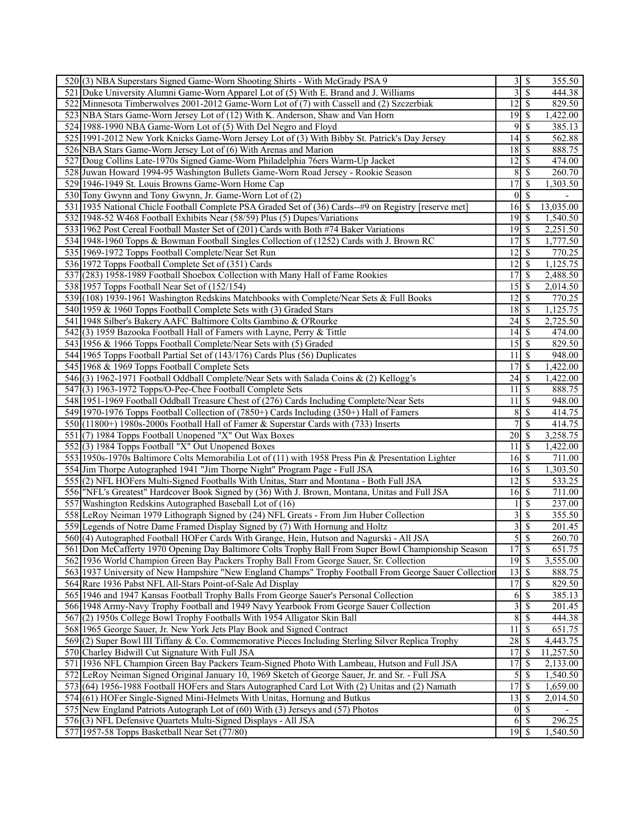| 520(3) NBA Superstars Signed Game-Worn Shooting Shirts - With McGrady PSA 9                            |                                 | $3\overline{3}$          | 355.50              |
|--------------------------------------------------------------------------------------------------------|---------------------------------|--------------------------|---------------------|
| 521 Duke University Alumni Game-Worn Apparel Lot of (5) With E. Brand and J. Williams                  | $\overline{3}$                  | $\sqrt{s}$               | 444.38              |
| 522 Minnesota Timberwolves 2001-2012 Game-Worn Lot of (7) with Cassell and (2) Szczerbiak              | $\overline{12}$ \$              |                          | 829.50              |
| 523 NBA Stars Game-Worn Jersey Lot of (12) With K. Anderson, Shaw and Van Horn                         |                                 |                          | 1,422.00            |
| 524 1988-1990 NBA Game-Worn Lot of (5) With Del Negro and Floyd                                        | 9                               | -S                       | 385.13              |
| 525 1991-2012 New York Knicks Game-Worn Jersey Lot of (3) With Bibby St. Patrick's Day Jersey          |                                 |                          | 562.88              |
| 526 NBA Stars Game-Worn Jersey Lot of (6) With Arenas and Marion                                       | $18$ $\sqrt{5}$                 |                          | 888.75              |
| 527 Doug Collins Late-1970s Signed Game-Worn Philadelphia 76ers Warm-Up Jacket                         | $12 \mid$ \$                    |                          | 474.00              |
| 528 Juwan Howard 1994-95 Washington Bullets Game-Worn Road Jersey - Rookie Season                      | 8S                              |                          | 260.70              |
| 529 1946-1949 St. Louis Browns Game-Worn Home Cap                                                      | 17                              | $\overline{\mathcal{S}}$ | 1,303.50            |
|                                                                                                        | $0 \mid S$                      |                          |                     |
| 530 Tony Gwynn and Tony Gwynn, Jr. Game-Worn Lot of (2)                                                | 16S                             |                          |                     |
| 531 1935 National Chicle Football Complete PSA Graded Set of (36) Cards--#9 on Registry [reserve met   |                                 |                          | 13,035.00           |
| 532 1948-52 W468 Football Exhibits Near (58/59) Plus (5) Dupes/Variations                              | $\overline{19}$ \$              |                          | 1,540.50            |
| 533 1962 Post Cereal Football Master Set of (201) Cards with Both #74 Baker Variations                 | $19$ $\sqrt{5}$                 |                          | 2,251.50            |
| 534 1948-1960 Topps & Bowman Football Singles Collection of (1252) Cards with J. Brown RC              | $\overline{17}$                 | $\overline{\mathbf{s}}$  | 1,777.50            |
| 535 1969-1972 Topps Football Complete/Near Set Run                                                     | $12 \mid$ \$                    |                          | 770.25              |
| 536 1972 Topps Football Complete Set of (351) Cards                                                    | 12                              | \$                       | 1,125.75            |
| 537 (283) 1958-1989 Football Shoebox Collection with Many Hall of Fame Rookies                         | 17                              | l \$                     | 2,488.50            |
| 538 1957 Topps Football Near Set of (152/154)                                                          | $\overline{15}$ $\overline{\$}$ |                          | 2,014.50            |
| 539 (108) 1939-1961 Washington Redskins Matchbooks with Complete/Near Sets & Full Books                | $\overline{12}$ \$              |                          | 770.25              |
| 540 1959 & 1960 Topps Football Complete Sets with (3) Graded Stars                                     |                                 |                          | 1,125.75            |
| 541 1948 Silber's Bakery AAFC Baltimore Colts Gambino & O'Rourke                                       | 24                              | $\mathsf{I}$             | 2,725.50            |
| 542(3) 1959 Bazooka Football Hall of Famers with Layne, Perry & Tittle                                 |                                 |                          | 474.00              |
| 543 1956 & 1966 Topps Football Complete/Near Sets with (5) Graded                                      |                                 |                          | 829.50              |
| 544 1965 Topps Football Partial Set of (143/176) Cards Plus (56) Duplicates                            | 11                              | $\overline{\mathcal{S}}$ | 948.00              |
| 545 1968 & 1969 Topps Football Complete Sets                                                           | 17                              | $\overline{\mathcal{S}}$ | 1,422.00            |
| 546(3) 1962-1971 Football Oddball Complete/Near Sets with Salada Coins & (2) Kellogg's                 |                                 |                          | 1,422.00            |
| 547(3) 1963-1972 Topps/O-Pee-Chee Football Complete Sets                                               | 11                              | $\mathcal{S}$            | 888.75              |
| 548 1951-1969 Football Oddball Treasure Chest of (276) Cards Including Complete/Near Sets              | 11                              | -\$                      | 948.00              |
| 549 1970-1976 Topps Football Collection of (7850+) Cards Including (350+) Hall of Famers               | 8                               | l \$                     | 414.75              |
| 550 (11800+) 1980s-2000s Football Hall of Famer & Superstar Cards with (733) Inserts                   | 7                               | $\mathcal{S}$            | 414.75              |
| 551 (7) 1984 Topps Football Unopened "X" Out Wax Boxes                                                 | $20\overline{\smash{)}\,}$      |                          | 3,258.75            |
| 552(3) 1984 Topps Football "X" Out Unopened Boxes                                                      | 11                              | -S                       | 1,422.00            |
| 553 1950s-1970s Baltimore Colts Memorabilia Lot of (11) with 1958 Press Pin & Presentation Lighter     | $16 \mid$ \$                    |                          | 711.00              |
| 554 Jim Thorpe Autographed 1941 "Jim Thorpe Night" Program Page - Full JSA                             | $16 \,$ \$                      |                          | 1,303.50            |
| 555 (2) NFL HOFers Multi-Signed Footballs With Unitas, Starr and Montana - Both Full JSA               | $\overline{12}$ \$              |                          | 533.25              |
| 556 "NFL's Greatest" Hardcover Book Signed by (36) With J. Brown, Montana, Unitas and Full JSA         |                                 |                          | 711.00              |
| 557 Washington Redskins Autographed Baseball Lot of (16)                                               |                                 | \$                       | 237.00              |
| 558 LeRoy Neiman 1979 Lithograph Signed by (24) NFL Greats - From Jim Huber Collection                 | 3                               | $\mathcal{S}$            | 355.50              |
| 559 Legends of Notre Dame Framed Display Signed by (7) With Hornung and Holtz                          | 3                               | \$                       | 201.45              |
| 560 (4) Autographed Football HOFer Cards With Grange, Hein, Hutson and Nagurski - All JSA              |                                 | $\overline{5 }$          | 260.70              |
| 561 Don McCafferty 1970 Opening Day Baltimore Colts Trophy Ball From Super Bowl Championship Season    | 17S                             |                          | 651.75              |
| 562 1936 World Champion Green Bay Packers Trophy Ball From George Sauer, Sr. Collection                | $19$ $\overline{\text{S}}$      |                          | 3,555.00            |
| 563 1937 University of New Hampshire "New England Champs" Trophy Football From George Sauer Collection | $\overline{13}$ $\overline{5}$  |                          | 888.75              |
| 564 Rare 1936 Pabst NFL All-Stars Point-of-Sale Ad Display                                             | 17                              | $\overline{\mathcal{S}}$ | 829.50              |
| 565 1946 and 1947 Kansas Football Trophy Balls From George Sauer's Personal Collection                 | 6                               | \$                       | 385.13              |
| 566 1948 Army-Navy Trophy Football and 1949 Navy Yearbook From George Sauer Collection                 | $\overline{3}$                  | $\mathcal{S}$            | $\overline{201}.45$ |
| 567(2) 1950s College Bowl Trophy Footballs With 1954 Alligator Skin Ball                               | $\overline{\bf 8}$              | $\overline{\mathcal{S}}$ | 444.38              |
| 568 1965 George Sauer, Jr. New York Jets Play Book and Signed Contract                                 | 11                              | $\sqrt{s}$               | 651.75              |
| 569(2) Super Bowl III Tiffany & Co. Commemorative Pieces Including Sterling Silver Replica Trophy      | 28S                             |                          | 4,443.75            |
| 570 Charley Bidwill Cut Signature With Full JSA                                                        | 17                              | $\mathcal{S}$            | 11,257.50           |
| 571 1936 NFL Champion Green Bay Packers Team-Signed Photo With Lambeau, Hutson and Full JSA            | 17                              | $\mathcal{S}$            | 2,133.00            |
| 572 LeRoy Neiman Signed Original January 10, 1969 Sketch of George Sauer, Jr. and Sr. - Full JSA       | 5                               | $\sqrt{S}$               | 1,540.50            |
| 573 (64) 1956-1988 Football HOFers and Stars Autographed Card Lot With (2) Unitas and (2) Namath       | $\overline{17}$                 | $\sqrt{s}$               | 1,659.00            |
| 574(61) HOFer Single-Signed Mini-Helmets With Unitas, Hornung and Butkus                               | 13                              | l \$                     | 2,014.50            |
| 575 New England Patriots Autograph Lot of (60) With (3) Jerseys and (57) Photos                        |                                 | $0 \mid \mathsf{S}$      |                     |
| 576(3) NFL Defensive Quartets Multi-Signed Displays - All JSA                                          |                                 | 6S                       | 296.25              |
| 577 1957-58 Topps Basketball Near Set (77/80)                                                          | $19$ $\sqrt{5}$                 |                          | 1,540.50            |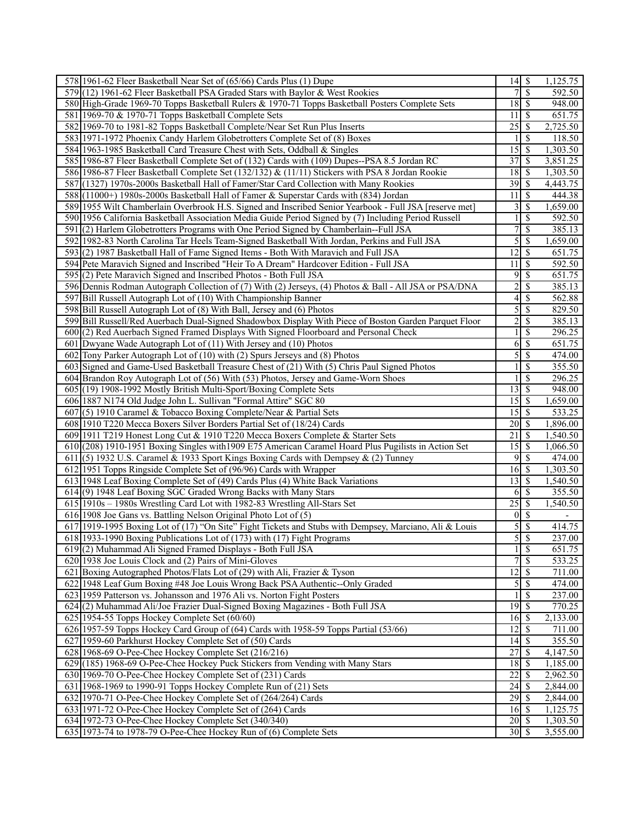| 578 1961-62 Fleer Basketball Near Set of (65/66) Cards Plus (1) Dupe                                   |                                | 1,125.75                  |
|--------------------------------------------------------------------------------------------------------|--------------------------------|---------------------------|
| 579 (12) 1961-62 Fleer Basketball PSA Graded Stars with Baylor & West Rookies                          | 7s                             | 592.50                    |
| 580 High-Grade 1969-70 Topps Basketball Rulers & 1970-71 Topps Basketball Posters Complete Sets        | $18$ $\overline{\phantom{1}5}$ | 948.00                    |
| 581 1969-70 & 1970-71 Topps Basketball Complete Sets                                                   | 11                             | <sup>\$</sup><br>651.75   |
| 582 1969-70 to 1981-82 Topps Basketball Complete/Near Set Run Plus Inserts                             | 25                             | \$<br>2,725.50            |
| 583 1971-1972 Phoenix Candy Harlem Globetrotters Complete Set of (8) Boxes                             |                                | <sup>\$</sup><br>118.50   |
| 584 1963-1985 Basketball Card Treasure Chest with Sets, Oddball & Singles                              |                                | 1,303.50                  |
| 585 1986-87 Fleer Basketball Complete Set of (132) Cards with (109) Dupes--PSA 8.5 Jordan RC           | 37                             | <sup>\$</sup><br>3,851.25 |
| 586 1986-87 Fleer Basketball Complete Set (132/132) & (11/11) Stickers with PSA 8 Jordan Rookie        | 18S                            | 1,303.50                  |
| 587 (1327) 1970s-2000s Basketball Hall of Famer/Star Card Collection with Many Rookies                 | 39S                            | 4,443.75                  |
| 588 (11000+) 1980s-2000s Basketball Hall of Famer & Superstar Cards with (834) Jordan                  | 11                             | \$<br>444.38              |
| 589 1955 Wilt Chamberlain Overbrook H.S. Signed and Inscribed Senior Yearbook - Full JSA [reserve met] | $\overline{3}$                 | <sup>\$</sup><br>1,659.00 |
| 590 1956 California Basketball Association Media Guide Period Signed by (7) Including Period Russell   |                                | \$<br>592.50              |
| 591 (2) Harlem Globetrotters Programs with One Period Signed by Chamberlain--Full JSA                  | $\overline{7}$                 | \$<br>385.13              |
| 592 1982-83 North Carolina Tar Heels Team-Signed Basketball With Jordan, Perkins and Full JSA          | 5s                             | 1,659.00                  |
| 593(2) 1987 Basketball Hall of Fame Signed Items - Both With Maravich and Full JSA                     | $12 \mid$ \$                   | 651.75                    |
| 594 Pete Maravich Signed and Inscribed "Heir To A Dream" Hardcover Edition - Full JSA                  | 11                             | \$<br>592.50              |
| 595(2) Pete Maravich Signed and Inscribed Photos - Both Full JSA                                       | $\overline{9}$                 | \$<br>651.75              |
| 596 Dennis Rodman Autograph Collection of (7) With (2) Jerseys, (4) Photos & Ball - All JSA or PSA/DNA | $\overline{c}$                 | \$<br>385.13              |
| 597 Bill Russell Autograph Lot of (10) With Championship Banner                                        | $\frac{4}{3}$                  | \$<br>562.88              |
| 598 Bill Russell Autograph Lot of (8) With Ball, Jersey and (6) Photos                                 | $\overline{5}$                 | \$<br>829.50              |
| 599 Bill Russell/Red Auerbach Dual-Signed Shadowbox Display With Piece of Boston Garden Parquet Floor  | $\overline{2}$                 | \$<br>385.13              |
| 600(2) Red Auerbach Signed Framed Displays With Signed Floorboard and Personal Check                   |                                | \$<br>296.25              |
| 601 Dwyane Wade Autograph Lot of (11) With Jersey and (10) Photos                                      | 6                              | \$<br>651.75              |
| 602 Tony Parker Autograph Lot of (10) with (2) Spurs Jerseys and (8) Photos                            | $\overline{5}$                 | \$<br>474.00              |
| 603 Signed and Game-Used Basketball Treasure Chest of (21) With (5) Chris Paul Signed Photos           |                                | \$<br>355.50              |
| 604 Brandon Roy Autograph Lot of (56) With (53) Photos, Jersey and Game-Worn Shoes                     |                                | $\mathbb{S}$<br>296.25    |
| 605 (19) 1908-1992 Mostly British Multi-Sport/Boxing Complete Sets                                     | $13 \,$ \$                     | 948.00                    |
| 606 1887 N174 Old Judge John L. Sullivan "Formal Attire" SGC 80                                        | 15                             | 1,659.00<br>S             |
| 607(5) 1910 Caramel & Tobacco Boxing Complete/Near & Partial Sets                                      |                                | 533.25                    |
| 608 1910 T220 Mecca Boxers Silver Borders Partial Set of (18/24) Cards                                 | $\overline{20}$ \$             | 1,896.00                  |
| 609 1911 T219 Honest Long Cut & 1910 T220 Mecca Boxers Complete & Starter Sets                         | 21<br>l \$                     | 1,540.50                  |
| 610 (208) 1910-1951 Boxing Singles with 1909 E75 American Caramel Hoard Plus Pugilists in Action Set   |                                | 1,066.50                  |
| 611 (5) 1932 U.S. Caramel & 1933 Sport Kings Boxing Cards with Dempsey & (2) Tunney                    |                                | 474.00                    |
| 612 1951 Topps Ringside Complete Set of (96/96) Cards with Wrapper                                     | $16 \,$ \$                     | 1,303.50                  |
| 613 1948 Leaf Boxing Complete Set of (49) Cards Plus (4) White Back Variations                         |                                | 1,540.50                  |
| 614(9) 1948 Leaf Boxing SGC Graded Wrong Backs with Many Stars                                         | $6\sqrt{5}$                    | 355.50                    |
| 615 1910s - 1980s Wrestling Card Lot with 1982-83 Wrestling All-Stars Set                              | $25 \mid$ \$                   | 1,540.50                  |
| 616 1908 Joe Gans vs. Battling Nelson Original Photo Lot of (5)                                        | $0 \vert S$                    | $\overline{\phantom{a}}$  |
| 617 1919-1995 Boxing Lot of (17) "On Site" Fight Tickets and Stubs with Dempsey, Marciano, Ali & Louis | $\overline{5}$                 | $\overline{\$}$<br>414.75 |
| 618 1933-1990 Boxing Publications Lot of (173) with (17) Fight Programs                                | 5S                             | 237.00                    |
| 619(2) Muhammad Ali Signed Framed Displays - Both Full JSA                                             | $1\vert \mathsf{S}$            | 651.75                    |
| 620 1938 Joe Louis Clock and (2) Pairs of Mini-Gloves                                                  | 7s                             | 533.25                    |
| 621 Boxing Autographed Photos/Flats Lot of (29) with Ali, Frazier & Tyson                              | 12S                            | 711.00                    |
| 622 1948 Leaf Gum Boxing #48 Joe Louis Wrong Back PSA Authentic--Only Graded                           |                                | 474.00                    |
| 623 1959 Patterson vs. Johansson and 1976 Ali vs. Norton Fight Posters                                 |                                | <sup>\$</sup><br>237.00   |
| 624(2) Muhammad Ali/Joe Frazier Dual-Signed Boxing Magazines - Both Full JSA                           | $\overline{19}$ \$             | 770.25                    |
| 625 1954-55 Topps Hockey Complete Set (60/60)                                                          | $16 \mid$ \$                   | 2,133.00                  |
| 626 1957-59 Topps Hockey Card Group of (64) Cards with 1958-59 Topps Partial (53/66)                   | $12 \mid$ \$                   | 711.00                    |
| 627 1959-60 Parkhurst Hockey Complete Set of (50) Cards                                                | 14S                            | 355.50                    |
| 628 1968-69 O-Pee-Chee Hockey Complete Set (216/216)                                                   | 27                             | <sup>\$</sup><br>4,147.50 |
| 629 (185) 1968-69 O-Pee-Chee Hockey Puck Stickers from Vending with Many Stars                         | $18 \mid S$                    | 1,185.00                  |
| 630 1969-70 O-Pee-Chee Hockey Complete Set of (231) Cards                                              | $\overline{22}$<br>$\sqrt{S}$  | 2,962.50                  |
| 631 1968-1969 to 1990-91 Topps Hockey Complete Run of (21) Sets                                        |                                | 2,844.00                  |
| 632 1970-71 O-Pee-Chee Hockey Complete Set of (264/264) Cards                                          |                                | 2,844.00                  |
| 633 1971-72 O-Pee-Chee Hockey Complete Set of (264) Cards                                              | $16 \mid$ \$                   | 1,125.75                  |
| 634 1972-73 O-Pee-Chee Hockey Complete Set (340/340)                                                   | $20\overline{3}$               | 1,303.50                  |
| 635 1973-74 to 1978-79 O-Pee-Chee Hockey Run of (6) Complete Sets                                      | $30 \mid S$                    | 3,555.00                  |
|                                                                                                        |                                |                           |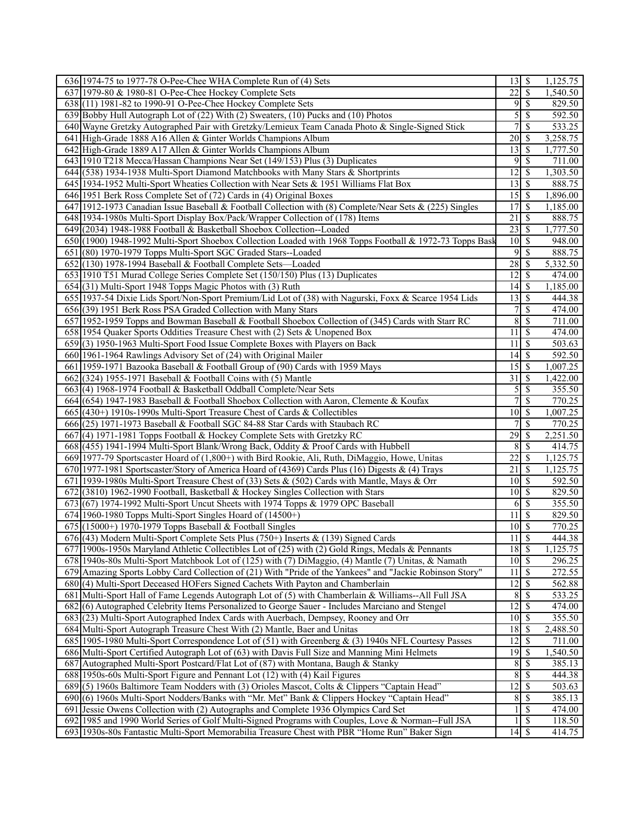| 636 1974-75 to 1977-78 O-Pee-Chee WHA Complete Run of (4) Sets                                                                     | $13 \mid$ \$                                          |                          | 1,125.75 |
|------------------------------------------------------------------------------------------------------------------------------------|-------------------------------------------------------|--------------------------|----------|
| 637 1979-80 & 1980-81 O-Pee-Chee Hockey Complete Sets                                                                              | $\overline{22}$                                       | $\overline{\mathcal{S}}$ | 1,540.50 |
| 638 (11) 1981-82 to 1990-91 O-Pee-Chee Hockey Complete Sets                                                                        | 9                                                     | S                        | 829.50   |
| 639 Bobby Hull Autograph Lot of (22) With (2) Sweaters, (10) Pucks and (10) Photos                                                 | 5                                                     | \$                       | 592.50   |
| 640 Wayne Gretzky Autographed Pair with Gretzky/Lemieux Team Canada Photo & Single-Signed Stick                                    | $\overline{7}$                                        | $\mathbf{\$}$            | 533.25   |
| 641 High-Grade 1888 A16 Allen & Ginter Worlds Champions Album                                                                      | $\overline{20}$ \$                                    |                          | 3,258.75 |
| 642 High-Grade 1889 A17 Allen & Ginter Worlds Champions Album                                                                      | 13                                                    | $\overline{\mathcal{S}}$ | 1,777.50 |
| 643 1910 T218 Mecca/Hassan Champions Near Set (149/153) Plus (3) Duplicates                                                        | 95                                                    |                          | 711.00   |
| 644 (538) 1934-1938 Multi-Sport Diamond Matchbooks with Many Stars & Shortprints                                                   | 12                                                    | l \$                     | 1,303.50 |
| 645 1934-1952 Multi-Sport Wheaties Collection with Near Sets & 1951 Williams Flat Box                                              | $13 \mid$ \$                                          |                          | 888.75   |
| 646 1951 Berk Ross Complete Set of (72) Cards in (4) Original Boxes                                                                | $15 \overline{\smash{\big)}\ 5}$                      |                          | 1,896.00 |
| 647 1912-1973 Canadian Issue Baseball & Football Collection with (8) Complete/Near Sets & (225) Singles                            | 17                                                    | $\sqrt{s}$               | 1,185.00 |
| 648 1934-1980s Multi-Sport Display Box/Pack/Wrapper Collection of (178) Items                                                      | 21                                                    | $\overline{\mathcal{S}}$ | 888.75   |
| 649 (2034) 1948-1988 Football & Basketball Shoebox Collection--Loaded                                                              |                                                       |                          | 1,777.50 |
| 650 (1900) 1948-1992 Multi-Sport Shoebox Collection Loaded with 1968 Topps Football & 1972-73 Topps Bask                           | $\overline{10}$ \$                                    |                          | 948.00   |
| 651 (80) 1970-1979 Topps Multi-Sport SGC Graded Stars--Loaded                                                                      | 9                                                     | \$                       | 888.75   |
| 652 (130) 1978-1994 Baseball & Football Complete Sets—Loaded                                                                       | $\overline{28}$ \$                                    |                          | 5,332.50 |
| 653 1910 T51 Murad College Series Complete Set (150/150) Plus (13) Duplicates                                                      | $12 \mid$ \$                                          |                          | 474.00   |
| 654 (31) Multi-Sport 1948 Topps Magic Photos with (3) Ruth                                                                         | $14$ $\sqrt{5}$                                       |                          | 1,185.00 |
| 655 1937-54 Dixie Lids Sport/Non-Sport Premium/Lid Lot of (38) with Nagurski, Foxx & Scarce 1954 Lids                              | 13S                                                   |                          | 444.38   |
| 656 (39) 1951 Berk Ross PSA Graded Collection with Many Stars                                                                      | 7                                                     | \$                       | 474.00   |
| 657 1952-1959 Topps and Bowman Baseball & Football Shoebox Collection of (345) Cards with Starr RC                                 | $\,8$                                                 | $\mathcal{S}$            | 711.00   |
| 658 1954 Quaker Sports Oddities Treasure Chest with (2) Sets & Unopened Box                                                        | $\overline{11}$                                       | \$                       | 474.00   |
| 659(3) 1950-1963 Multi-Sport Food Issue Complete Boxes with Players on Back                                                        | 11                                                    | $\sqrt{s}$               | 503.63   |
| 660 1961-1964 Rawlings Advisory Set of (24) with Original Mailer                                                                   | $\overline{14}$ \$                                    |                          | 592.50   |
| 661 1959-1971 Bazooka Baseball & Football Group of (90) Cards with 1959 Mays                                                       | $15 \overline{\smash{)}\,}$                           |                          | 1,007.25 |
|                                                                                                                                    | 31                                                    | $\overline{\mathcal{S}}$ | 1,422.00 |
| 662 (324) 1955-1971 Baseball & Football Coins with (5) Mantle<br>663(4) 1968-1974 Football & Basketball Oddball Complete/Near Sets | 5                                                     | \$                       | 355.50   |
|                                                                                                                                    | $\overline{7}$                                        | \$                       |          |
| 664 (654) 1947-1983 Baseball & Football Shoebox Collection with Aaron, Clemente & Koufax                                           | $10 \overline{\smash{)}\,}$                           |                          | 770.25   |
| 665 (430+) 1910s-1990s Multi-Sport Treasure Chest of Cards & Collectibles                                                          |                                                       | $\overline{\mathcal{S}}$ | 1,007.25 |
| 666 (25) 1971-1973 Baseball & Football SGC 84-88 Star Cards with Staubach RC                                                       |                                                       |                          | 770.25   |
| 667(4) 1971-1981 Topps Football & Hockey Complete Sets with Gretzky RC                                                             | 29                                                    | $\sqrt{s}$               | 2,251.50 |
| 668 (455) 1941-1994 Multi-Sport Blank/Wrong Back, Oddity & Proof Cards with Hubbell                                                | 8                                                     | $\sqrt{s}$               | 414.75   |
| 669 1977-79 Sportscaster Hoard of (1,800+) with Bird Rookie, Ali, Ruth, DiMaggio, Howe, Unitas                                     | 22                                                    | $\mathbb{S}$             | 1,125.75 |
| 670 1977-1981 Sportscaster/Story of America Hoard of (4369) Cards Plus (16) Digests & (4) Trays                                    | $\overline{21}$                                       | \$                       | 1,125.75 |
| 671 1939-1980s Multi-Sport Treasure Chest of (33) Sets & (502) Cards with Mantle, Mays & Orr                                       | $10 \overline{\smash{)}\,}$                           |                          | 592.50   |
| 672 (3810) 1962-1990 Football, Basketball & Hockey Singles Collection with Stars                                                   | $10\overline{\smash{)}\,}$                            |                          | 829.50   |
| 673 (67) 1974-1992 Multi-Sport Uncut Sheets with 1974 Topps & 1979 OPC Baseball                                                    | $6 \overline{\smash{)}\,}$                            |                          | 355.50   |
| $674$   1960-1980 Topps Multi-Sport Singles Hoard of (14500+)                                                                      | 11                                                    | $\overline{\mathcal{S}}$ | 829.50   |
| $675$ (15000+) 1970-1979 Topps Baseball & Football Singles                                                                         | $10 \mid$ \$                                          |                          | 770.25   |
| $676$ (43) Modern Multi-Sport Complete Sets Plus (750+) Inserts & (139) Signed Cards                                               | $11 \overline{\smash{\big\lceil \cdot \right\rceil}}$ |                          | 444.38   |
| 677 1900s-1950s Maryland Athletic Collectibles Lot of (25) with (2) Gold Rings, Medals & Pennants                                  | 18S                                                   |                          | 1,125.75 |
| 678 1940s-80s Multi-Sport Matchbook Lot of (125) with (7) DiMaggio, (4) Mantle (7) Unitas, & Namath                                | 10S                                                   |                          | 296.25   |
| 679 Amazing Sports Lobby Card Collection of (21) With "Pride of the Yankees" and "Jackie Robinson Story"                           | $11 \overline{\smash{)}\,}$                           |                          | 272.55   |
| 680(4) Multi-Sport Deceased HOFers Signed Cachets With Payton and Chamberlain                                                      | $12 \mid$ \$                                          |                          | 562.88   |
| 681 Multi-Sport Hall of Fame Legends Autograph Lot of (5) with Chamberlain & Williams--All Full JSA                                | $8\,$                                                 | \$                       | 533.25   |
| 682(6) Autographed Celebrity Items Personalized to George Sauer - Includes Marciano and Stengel                                    | $\overline{12}$ \$                                    |                          | 474.00   |
| 683 (23) Multi-Sport Autographed Index Cards with Auerbach, Dempsey, Rooney and Orr                                                | $10 \overline{\smash{)}\,}$                           |                          | 355.50   |
| 684 Multi-Sport Autograph Treasure Chest With (2) Mantle, Baer and Unitas                                                          | 18S                                                   |                          | 2,488.50 |
| 685 1905-1980 Multi-Sport Correspondence Lot of (51) with Greenberg & (3) 1940s NFL Courtesy Passes                                | $12 \mid$ \$                                          |                          | 711.00   |
| 686 Multi-Sport Certified Autograph Lot of (63) with Davis Full Size and Manning Mini Helmets                                      | $\overline{19}$ \$                                    |                          | 1,540.50 |
| 687 Autographed Multi-Sport Postcard/Flat Lot of (87) with Montana, Baugh & Stanky                                                 |                                                       | 8S                       | 385.13   |
| 688 1950s-60s Multi-Sport Figure and Pennant Lot (12) with (4) Kail Figures                                                        | $\overline{8}$                                        | $\sqrt{s}$               | 444.38   |
| 689(5) 1960s Baltimore Team Nodders with (3) Orioles Mascot, Colts & Clippers "Captain Head"                                       | $\overline{12}$ \$                                    |                          | 503.63   |
| 690 (6) 1960s Multi-Sport Nodders/Banks with "Mr. Met" Bank & Clippers Hockey "Captain Head"                                       |                                                       | 8S                       | 385.13   |
| 691 Jessie Owens Collection with (2) Autographs and Complete 1936 Olympics Card Set                                                |                                                       | $\mathbb{S}$             | 474.00   |
| 692 1985 and 1990 World Series of Golf Multi-Signed Programs with Couples, Love & Norman--Full JSA                                 |                                                       | $\mathcal{S}$            | 118.50   |
| 693 1930s-80s Fantastic Multi-Sport Memorabilia Treasure Chest with PBR "Home Run" Baker Sign                                      | $14\overline{3}$                                      |                          | 414.75   |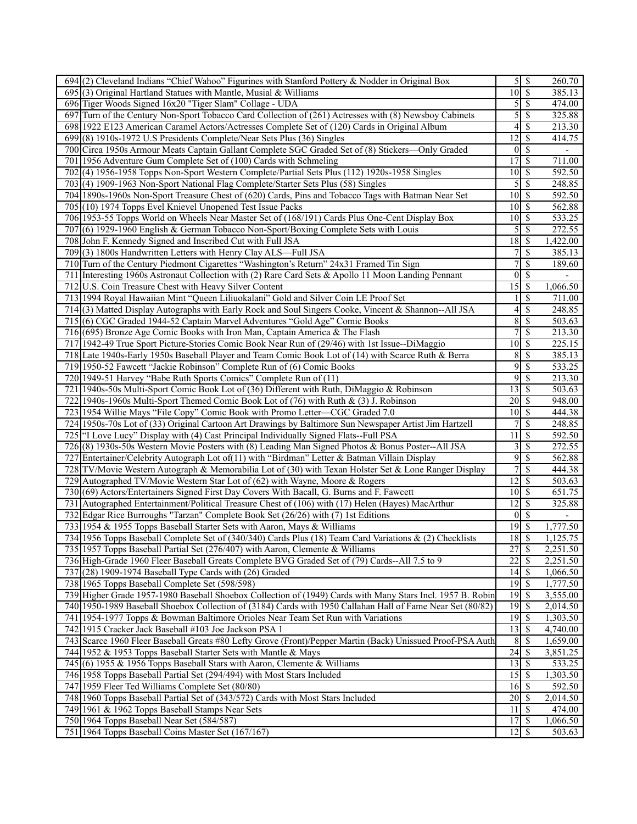| 694(2) Cleveland Indians "Chief Wahoo" Figurines with Stanford Pottery & Nodder in Original Box            |                                | $\overline{5}$ $\overline{\$}$ | 260.70   |
|------------------------------------------------------------------------------------------------------------|--------------------------------|--------------------------------|----------|
| $695(3)$ Original Hartland Statues with Mantle, Musial & Williams                                          | $10\overline{\smash{)}\,}$     |                                | 385.13   |
| 696 Tiger Woods Signed 16x20 "Tiger Slam" Collage - UDA                                                    | 5                              | l \$                           | 474.00   |
| 697 Turn of the Century Non-Sport Tobacco Card Collection of (261) Actresses with (8) Newsboy Cabinets     | 5                              | \$                             | 325.88   |
| 698 1922 E123 American Caramel Actors/Actresses Complete Set of (120) Cards in Original Album              |                                |                                | 213.30   |
| 699(8) 1910s-1972 U.S Presidents Complete/Near Sets Plus (36) Singles                                      | $\overline{12}$ \$             |                                | 414.75   |
| 700 Circa 1950s Armour Meats Captain Gallant Complete SGC Graded Set of (8) Stickers—Only Graded           |                                | $0\sqrt{S}$                    |          |
| 701 1956 Adventure Gum Complete Set of (100) Cards with Schmeling                                          | 17S                            |                                | 711.00   |
| 702(4) 1956-1958 Topps Non-Sport Western Complete/Partial Sets Plus (112) 1920s-1958 Singles               | $10 \mid$ \$                   |                                | 592.50   |
| 703(4) 1909-1963 Non-Sport National Flag Complete/Starter Sets Plus (58) Singles                           | 5                              | \$                             | 248.85   |
| 704 1890s-1960s Non-Sport Treasure Chest of (620) Cards, Pins and Tobacco Tags with Batman Near Set        | $10 \overline{\smash{)}\,}$    |                                | 592.50   |
| 705 (10) 1974 Topps Evel Knievel Unopened Test Issue Packs                                                 | $10\vert S$                    |                                | 562.88   |
| 706 1953-55 Topps World on Wheels Near Master Set of (168/191) Cards Plus One-Cent Display Box             | $10 \mid S$                    |                                | 533.25   |
|                                                                                                            |                                | 5S                             |          |
| 707(6) 1929-1960 English & German Tobacco Non-Sport/Boxing Complete Sets with Louis                        |                                |                                | 272.55   |
| 708 John F. Kennedy Signed and Inscribed Cut with Full JSA                                                 | $18 \overline{\smash{\big)} }$ |                                | 1,422.00 |
| 709(3) 1800s Handwritten Letters with Henry Clay ALS—Full JSA                                              | 7                              | \$                             | 385.13   |
| 710 Turn of the Century Piedmont Cigarettes "Washington's Return" 24x31 Framed Tin Sign                    | 7                              | $\mathcal{S}$                  | 189.60   |
| 711 Interesting 1960s Astronaut Collection with (2) Rare Card Sets & Apollo 11 Moon Landing Pennant        |                                | $0\sqrt{5}$                    |          |
| 712 U.S. Coin Treasure Chest with Heavy Silver Content                                                     | $15 \overline{\smash{)}\,}$    |                                | 1,066.50 |
| 713 1994 Royal Hawaiian Mint "Queen Liliuokalani" Gold and Silver Coin LE Proof Set                        |                                | $\overline{\mathcal{S}}$       | 711.00   |
| 714(3) Matted Display Autographs with Early Rock and Soul Singers Cooke, Vincent & Shannon--All JSA        | 4                              | \$                             | 248.85   |
| 715(6) CGC Graded 1944-52 Captain Marvel Adventures "Gold Age" Comic Books                                 | $8\,$                          | \$                             | 503.63   |
| 716 (695) Bronze Age Comic Books with Iron Man, Captain America & The Flash                                |                                | 7s                             | 213.30   |
| 717 1942-49 True Sport Picture-Stories Comic Book Near Run of (29/46) with 1st Issue--DiMaggio             |                                |                                | 225.15   |
| 718 Late 1940s-Early 1950s Baseball Player and Team Comic Book Lot of (14) with Scarce Ruth & Berra        | 8 <sup>1</sup>                 | $\overline{\mathbf{s}}$        | 385.13   |
| 719 1950-52 Fawcett "Jackie Robinson" Complete Run of (6) Comic Books                                      |                                | 9s                             | 533.25   |
| 720 1949-51 Harvey "Babe Ruth Sports Comics" Complete Run of (11)                                          | 9                              | $\mathbb{S}$                   | 213.30   |
| 721 1940s-50s Multi-Sport Comic Book Lot of (36) Different with Ruth, DiMaggio & Robinson                  | $13 \mid$ \$                   |                                | 503.63   |
| 722 1940s-1960s Multi-Sport Themed Comic Book Lot of (76) with Ruth & (3) J. Robinson                      | $20 \mid$ \$                   |                                | 948.00   |
| 723 1954 Willie Mays "File Copy" Comic Book with Promo Letter—CGC Graded 7.0                               | $10 \overline{\smash{)}\,}$    |                                | 444.38   |
| 724 1950s-70s Lot of (33) Original Cartoon Art Drawings by Baltimore Sun Newspaper Artist Jim Hartzell     |                                | \$                             | 248.85   |
| 725   "I Love Lucy" Display with (4) Cast Principal Individually Signed Flats--Full PSA                    | 11                             | $\overline{\mathcal{S}}$       | 592.50   |
| 726(8) 1930s-50s Western Movie Posters with (8) Leading Man Signed Photos & Bonus Poster--All JSA          |                                | $3\overline{3}$                | 272.55   |
| 727 Entertainer/Celebrity Autograph Lot of (11) with "Birdman" Letter & Batman Villain Display             | 9                              | \$                             | 562.88   |
| 728 TV/Movie Western Autograph & Memorabilia Lot of (30) with Texan Holster Set & Lone Ranger Display      |                                | $\overline{7}$ s               | 444.38   |
| 729 Autographed TV/Movie Western Star Lot of (62) with Wayne, Moore & Rogers                               | $12 \mid$ \$                   |                                | 503.63   |
| 730 (69) Actors/Entertainers Signed First Day Covers With Bacall, G. Burns and F. Fawcett                  | $10 \overline{\smash{)}\,}$    |                                | 651.75   |
| 731 Autographed Entertainment/Political Treasure Chest of (106) with (17) Helen (Hayes) MacArthur          | $12 \mid$ \$                   |                                | 325.88   |
| 732 Edgar Rice Burroughs "Tarzan" Complete Book Set (26/26) with (7) 1st Editions                          |                                | $0 \mid S$                     |          |
| 733 1954 & 1955 Topps Baseball Starter Sets with Aaron, Mays & Williams                                    |                                |                                | 1,777.50 |
| 734 1956 Topps Baseball Complete Set of (340/340) Cards Plus (18) Team Card Variations & (2) Checklists    | $18 \overline{\smash{)}\,5}$   |                                | 1,125.75 |
| 735 1957 Topps Baseball Partial Set (276/407) with Aaron, Clemente & Williams                              | 27                             | $\sqrt{S}$                     | 2,251.50 |
| 736 High-Grade 1960 Fleer Baseball Greats Complete BVG Graded Set of (79) Cards--All 7.5 to 9              | $\overline{22}$                | \$                             | 2,251.50 |
| 737 (28) 1909-1974 Baseball Type Cards with (26) Graded                                                    | $14 \overline{\smash{)}\,}$    |                                | 1,066.50 |
| 738 1965 Topps Baseball Complete Set (598/598)                                                             | $\overline{19}$ \$             |                                | 1,777.50 |
| 739 Higher Grade 1957-1980 Baseball Shoebox Collection of (1949) Cards with Many Stars Incl. 1957 B. Robin | $19$ \$                        |                                | 3,555.00 |
| 740 1950-1989 Baseball Shoebox Collection of (3184) Cards with 1950 Callahan Hall of Fame Near Set (80/82) | $\overline{19}$ \$             |                                | 2,014.50 |
| 741 1954-1977 Topps & Bowman Baltimore Orioles Near Team Set Run with Variations                           | $\overline{19}$ \$             |                                | 1,303.50 |
| 742 1915 Cracker Jack Baseball #103 Joe Jackson PSA 1                                                      | $13 \mid$ \$                   |                                | 4,740.00 |
| 743 Scarce 1960 Fleer Baseball Greats #80 Lefty Grove (Front)/Pepper Martin (Back) Unissued Proof-PSA Auth | 8                              | $\overline{\mathcal{S}}$       | 1,659.00 |
| 744 1952 & 1953 Topps Baseball Starter Sets with Mantle & Mays                                             | 24                             | \$                             | 3,851.25 |
| 745 (6) 1955 & 1956 Topps Baseball Stars with Aaron, Clemente & Williams                                   | $13 \mid$ \$                   |                                | 533.25   |
| 746 1958 Topps Baseball Partial Set (294/494) with Most Stars Included                                     | $15\overline{\smash{)}\,}$     |                                | 1,303.50 |
| 747 1959 Fleer Ted Williams Complete Set (80/80)                                                           | $16 \overline{\smash{)}\,}$    |                                | 592.50   |
| 748 1960 Topps Baseball Partial Set of (343/572) Cards with Most Stars Included                            | $20 \mid \mathsf{\$}$          |                                | 2,014.50 |
| 749 1961 & 1962 Topps Baseball Stamps Near Sets                                                            | 11                             | S                              | 474.00   |
| 750 1964 Topps Baseball Near Set (584/587)                                                                 |                                |                                | 1,066.50 |
| 751 1964 Topps Baseball Coins Master Set (167/167)                                                         | $12 \mid$ \$                   |                                | 503.63   |
|                                                                                                            |                                |                                |          |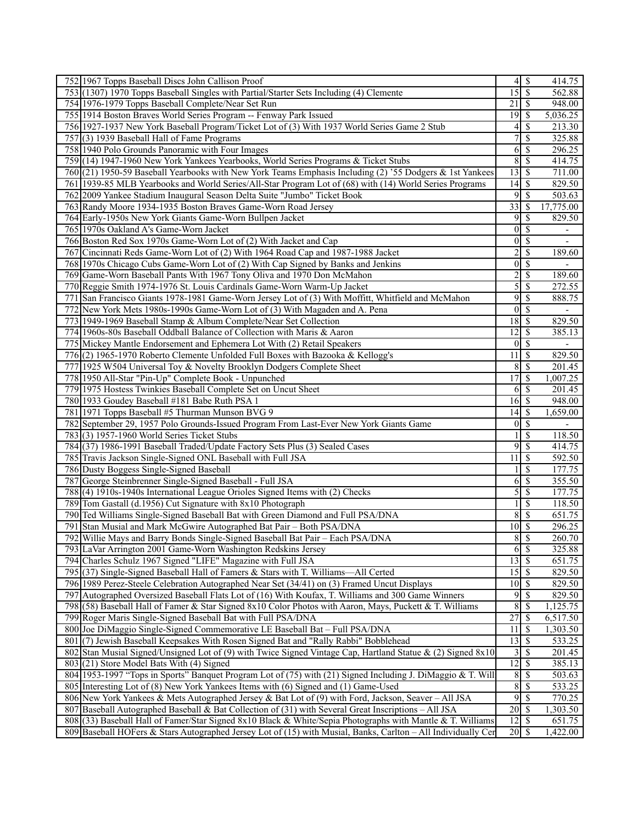| 752 1967 Topps Baseball Discs John Callison Proof                                                             |                                | $4$ \ $\sqrt{3}$         | 414.75                   |
|---------------------------------------------------------------------------------------------------------------|--------------------------------|--------------------------|--------------------------|
| 753 (1307) 1970 Topps Baseball Singles with Partial/Starter Sets Including (4) Clemente                       | 15S                            |                          | 562.88                   |
| 754 1976-1979 Topps Baseball Complete/Near Set Run                                                            | $21 \mid$ \$                   |                          | 948.00                   |
| 755 1914 Boston Braves World Series Program -- Fenway Park Issued                                             |                                |                          | 5,036.25                 |
| 756 1927-1937 New York Baseball Program/Ticket Lot of (3) With 1937 World Series Game 2 Stub                  | 4                              | S                        | 213.30                   |
| 757 (3) 1939 Baseball Hall of Fame Programs                                                                   | 7                              | -\$                      | 325.88                   |
| 758 1940 Polo Grounds Panoramic with Four Images                                                              | 6                              | $\overline{\mathcal{S}}$ | 296.25                   |
| 759 (14) 1947-1960 New York Yankees Yearbooks, World Series Programs & Ticket Stubs                           | 8                              | $\sqrt{s}$               | 414.75                   |
| 760 (21) 1950-59 Baseball Yearbooks with New York Teams Emphasis Including (2) '55 Dodgers & 1st Yankees      | 13S                            |                          | 711.00                   |
| 761 1939-85 MLB Yearbooks and World Series/All-Star Program Lot of (68) with (14) World Series Programs       |                                |                          | 829.50                   |
| 762 2009 Yankee Stadium Inaugural Season Delta Suite "Jumbo" Ticket Book                                      | 9                              | -S                       | 503.63                   |
| 763 Randy Moore 1934-1935 Boston Braves Game-Worn Road Jersey                                                 | $\overline{33}$                | l \$                     | 17,775.00                |
| 764 Early-1950s New York Giants Game-Worn Bullpen Jacket                                                      | 9                              | $\sqrt{s}$               | 829.50                   |
| 765 1970s Oakland A's Game-Worn Jacket                                                                        | $\boldsymbol{0}$               | \$                       |                          |
| 766 Boston Red Sox 1970s Game-Worn Lot of (2) With Jacket and Cap                                             |                                | $0\vert$ \$              | $\blacksquare$           |
| 767 Cincinnati Reds Game-Worn Lot of (2) With 1964 Road Cap and 1987-1988 Jacket                              | $\overline{c}$                 | \$                       | 189.60                   |
| 768 1970s Chicago Cubs Game-Worn Lot of (2) With Cap Signed by Banks and Jenkins                              | $\overline{0}$                 | \$                       |                          |
| 769 Game-Worn Baseball Pants With 1967 Tony Oliva and 1970 Don McMahon                                        | $\overline{2}$                 | $\mathcal{S}$            | 189.60                   |
| 770 Reggie Smith 1974-1976 St. Louis Cardinals Game-Worn Warm-Up Jacket                                       |                                | $\overline{5 }$          | 272.55                   |
| 771 San Francisco Giants 1978-1981 Game-Worn Jersey Lot of (3) With Moffitt, Whitfield and McMahon            | 9                              | $\overline{\mathcal{S}}$ | 888.75                   |
| 772 New York Mets 1980s-1990s Game-Worn Lot of (3) With Magaden and A. Pena                                   |                                | $0\vert S$               |                          |
| 773 1949-1969 Baseball Stamp & Album Complete/Near Set Collection                                             | $18 \overline{\smash{)}\,5}$   |                          | 829.50                   |
| 774 1960s-80s Baseball Oddball Balance of Collection with Maris & Aaron                                       | $12 \mid$ \$                   |                          | 385.13                   |
| 775 Mickey Mantle Endorsement and Ephemera Lot With (2) Retail Speakers                                       | $0\vert$ \$                    |                          |                          |
| 776(2) 1965-1970 Roberto Clemente Unfolded Full Boxes with Bazooka & Kellogg's                                | 11                             | $\mathcal{S}$            | 829.50                   |
| 777 1925 W504 Universal Toy & Novelty Brooklyn Dodgers Complete Sheet                                         | 8                              | $\overline{\mathcal{S}}$ | 201.45                   |
| 778 1950 All-Star "Pin-Up" Complete Book - Unpunched                                                          | 17                             | -S                       | 1,007.25                 |
| 779 1975 Hostess Twinkies Baseball Complete Set on Uncut Sheet                                                | 6                              | $\mathcal{S}$            | 201.45                   |
| 780 1933 Goudey Baseball #181 Babe Ruth PSA 1                                                                 | $16$ $\sqrt{ }$                |                          | 948.00                   |
| 781 1971 Topps Baseball #5 Thurman Munson BVG 9                                                               |                                |                          | 1,659.00                 |
| 782 September 29, 1957 Polo Grounds-Issued Program From Last-Ever New York Giants Game                        | $\overline{0}$                 | $\overline{\mathcal{S}}$ | $\overline{\phantom{a}}$ |
| 783(3) 1957-1960 World Series Ticket Stubs                                                                    |                                | \$                       | 118.50                   |
| 784 (37) 1986-1991 Baseball Traded/Update Factory Sets Plus (3) Sealed Cases                                  |                                | $9\sqrt{5}$              | 414.75                   |
| 785 Travis Jackson Single-Signed ONL Baseball with Full JSA                                                   | 11                             | $\overline{\mathcal{S}}$ | 592.50                   |
| 786 Dusty Boggess Single-Signed Baseball                                                                      |                                | $\mathbf{\$}$            | 177.75                   |
| 787 George Steinbrenner Single-Signed Baseball - Full JSA                                                     | 6                              | $\mathcal{S}$            | 355.50                   |
| 788 (4) 1910s-1940s International League Orioles Signed Items with (2) Checks                                 | 5                              | $\overline{\mathcal{S}}$ | 177.75                   |
| 789 Tom Gastall (d.1956) Cut Signature with 8x10 Photograph                                                   |                                | $\overline{\mathcal{S}}$ | 118.50                   |
| 790 Ted Williams Single-Signed Baseball Bat with Green Diamond and Full PSA/DNA                               | 8                              | $\mathcal{S}$            | 651.75                   |
| 791 Stan Musial and Mark McGwire Autographed Bat Pair - Both PSA/DNA                                          | $10\sqrt{5}$                   |                          | 296.25                   |
| 792 Willie Mays and Barry Bonds Single-Signed Baseball Bat Pair - Each PSA/DNA                                |                                | 8S                       | 260.70                   |
| 793 LaVar Arrington 2001 Game-Worn Washington Redskins Jersey                                                 |                                | $6 \mid$ \$              | 325.88                   |
| 794 Charles Schulz 1967 Signed "LIFE" Magazine with Full JSA                                                  | $13 \mid$ \$                   |                          | 651.75                   |
| 795 (37) Single-Signed Baseball Hall of Famers & Stars with T. Williams—All Certed                            | $15\overline{3}$               |                          | 829.50                   |
| 796 1989 Perez-Steele Celebration Autographed Near Set (34/41) on (3) Framed Uncut Displays                   | $10 \mid$ \$                   |                          | 829.50                   |
| 797 Autographed Oversized Baseball Flats Lot of (16) With Koufax, T. Williams and 300 Game Winners            | 9                              | $\mathbb{S}$             | 829.50                   |
| 798 (58) Baseball Hall of Famer & Star Signed 8x10 Color Photos with Aaron, Mays, Puckett & T. Williams       | $8\,$                          | \$                       | 1,125.75                 |
| 799 Roger Maris Single-Signed Baseball Bat with Full PSA/DNA                                                  | 27                             | $\vert$ \$               | 6,517.50                 |
| 800 Joe DiMaggio Single-Signed Commemorative LE Baseball Bat - Full PSA/DNA                                   | 11                             | \$                       | 1,303.50                 |
| 801 (7) Jewish Baseball Keepsakes With Rosen Signed Bat and "Rally Rabbi" Bobblehead                          | $\overline{13}$ $\overline{5}$ |                          | 533.25                   |
| 802 Stan Musial Signed/Unsigned Lot of (9) with Twice Signed Vintage Cap, Hartland Statue & (2) Signed 8x10   |                                |                          | 201.45                   |
| 803 (21) Store Model Bats With (4) Signed                                                                     | $\overline{12}$ \$             |                          | 385.13                   |
| 804 1953-1997 "Tops in Sports" Banquet Program Lot of (75) with (21) Signed Including J. DiMaggio & T. Will   |                                | 8S                       | 503.63                   |
| 805 Interesting Lot of (8) New York Yankees Items with (6) Signed and (1) Game-Used                           |                                | 8S                       | 533.25                   |
| 806 New York Yankees & Mets Autographed Jersey & Bat Lot of (9) with Ford, Jackson, Seaver – All JSA          | 9                              | \$                       | 770.25                   |
| 807 Baseball Autographed Baseball & Bat Collection of (31) with Several Great Inscriptions – All JSA          | $20 \mid$ \$                   |                          | 1,303.50                 |
| 808 (33) Baseball Hall of Famer/Star Signed 8x10 Black & White/Sepia Photographs with Mantle & T. Williams    | $12 \mid$ \$                   |                          | 651.75                   |
| 809 Baseball HOFers & Stars Autographed Jersey Lot of (15) with Musial, Banks, Carlton – All Individually Cer | $20$   \$                      |                          | 1,422.00                 |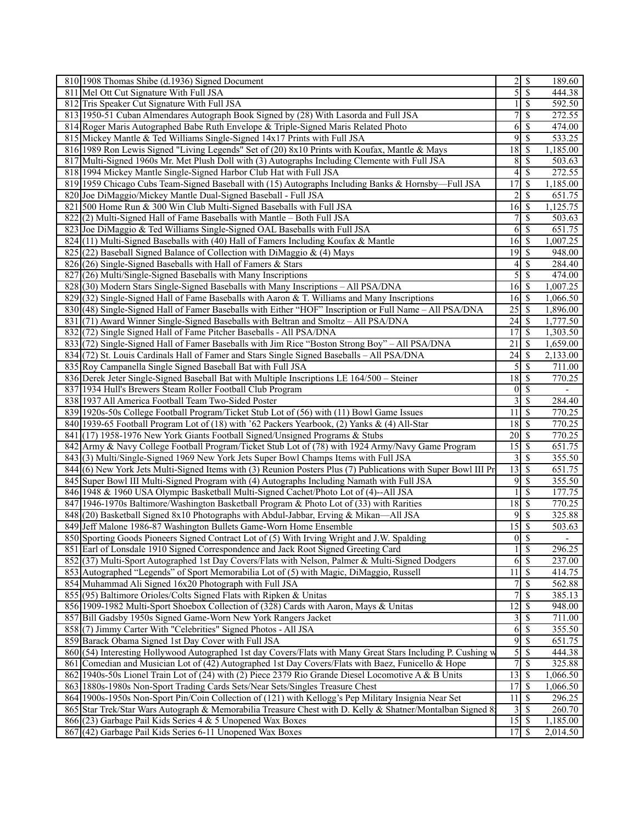| 810 1908 Thomas Shibe (d.1936) Signed Document                                                                |                               | $2 \mid$ \$                      | 189.60                   |
|---------------------------------------------------------------------------------------------------------------|-------------------------------|----------------------------------|--------------------------|
| 811 Mel Ott Cut Signature With Full JSA                                                                       | 5                             | $\overline{\mathcal{S}}$         | 444.38                   |
| 812 Tris Speaker Cut Signature With Full JSA                                                                  |                               | $\overline{\mathcal{S}}$         | 592.50                   |
| 813 1950-51 Cuban Almendares Autograph Book Signed by (28) With Lasorda and Full JSA                          | 7                             | \$                               | 272.55                   |
| 814 Roger Maris Autographed Babe Ruth Envelope & Triple-Signed Maris Related Photo                            | 6                             | \$                               | 474.00                   |
| 815 Mickey Mantle & Ted Williams Single-Signed 14x17 Prints with Full JSA                                     | 9                             | \$                               | 533.25                   |
| 816 1989 Ron Lewis Signed "Living Legends" Set of (20) 8x10 Prints with Koufax, Mantle & Mays                 | 18                            | $\overline{\mathcal{S}}$         | 1,185.00                 |
| 817 Multi-Signed 1960s Mr. Met Plush Doll with (3) Autographs Including Clemente with Full JSA                | 8                             | $\overline{\mathcal{S}}$         | 503.63                   |
| 818 1994 Mickey Mantle Single-Signed Harbor Club Hat with Full JSA                                            |                               | $4\sqrt{3}$                      | 272.55                   |
| 819 1959 Chicago Cubs Team-Signed Baseball with (15) Autographs Including Banks & Hornsby-Full JSA            | 17                            | \$                               | 1,185.00                 |
|                                                                                                               | 2                             |                                  |                          |
| 820 Joe DiMaggio/Mickey Mantle Dual-Signed Baseball - Full JSA                                                |                               | \$                               | 651.75                   |
| 821 500 Home Run & 300 Win Club Multi-Signed Baseballs with Full JSA                                          | $\overline{16}$ \$            |                                  | 1,125.75                 |
| $822$ (2) Multi-Signed Hall of Fame Baseballs with Mantle – Both Full JSA                                     | 7                             | $\mathcal{S}$                    | $\overline{503.63}$      |
| 823 Joe DiMaggio & Ted Williams Single-Signed OAL Baseballs with Full JSA                                     | 6                             | <sup>\$</sup>                    | 651.75                   |
| 824 (11) Multi-Signed Baseballs with (40) Hall of Famers Including Koufax & Mantle                            | 16S                           |                                  | 1,007.25                 |
| 825 (22) Baseball Signed Balance of Collection with DiMaggio $\&$ (4) Mays                                    |                               |                                  | 948.00                   |
| 826 (26) Single-Signed Baseballs with Hall of Famers & Stars                                                  | 4                             | \$                               | 284.40                   |
| 827 (26) Multi/Single-Signed Baseballs with Many Inscriptions                                                 | 5                             | \$                               | 474.00                   |
| 828 (30) Modern Stars Single-Signed Baseballs with Many Inscriptions - All PSA/DNA                            |                               |                                  | 1,007.25                 |
| 829 (32) Single-Signed Hall of Fame Baseballs with Aaron & T. Williams and Many Inscriptions                  | $16 \mid$ \$                  |                                  | 1,066.50                 |
| 830 (48) Single-Signed Hall of Famer Baseballs with Either "HOF" Inscription or Full Name - All PSA/DNA       | 25S                           |                                  | 1,896.00                 |
| 831 (71) Award Winner Single-Signed Baseballs with Beltran and Smoltz - All PSA/DNA                           | 24                            | \$                               | 1,777.50                 |
| 832 (72) Single Signed Hall of Fame Pitcher Baseballs - All PSA/DNA                                           | 17                            | -\$                              | 1,303.50                 |
| 833 (72) Single-Signed Hall of Famer Baseballs with Jim Rice "Boston Strong Boy" – All PSA/DNA                | 21                            | S                                | 1,659.00                 |
| 834 (72) St. Louis Cardinals Hall of Famer and Stars Single Signed Baseballs – All PSA/DNA                    | 24                            | $\overline{\mathcal{S}}$         | 2,133.00                 |
| 835 Roy Campanella Single Signed Baseball Bat with Full JSA                                                   | 5                             | $\overline{\mathcal{S}}$         | 711.00                   |
| 836 Derek Jeter Single-Signed Baseball Bat with Multiple Inscriptions LE 164/500 – Steiner                    | 18S                           |                                  | 770.25                   |
| 837 1934 Hull's Brewers Steam Roller Football Club Program                                                    |                               | $0 \vert S$                      | $\overline{\phantom{0}}$ |
| 838 1937 All America Football Team Two-Sided Poster                                                           | 3                             | \$                               | 284.40                   |
| 839 1920s-50s College Football Program/Ticket Stub Lot of (56) with (11) Bowl Game Issues                     | 11                            | \$                               | 770.25                   |
| 840 1939-65 Football Program Lot of (18) with '62 Packers Yearbook, (2) Yanks & (4) All-Star                  | 18S                           |                                  | 770.25                   |
|                                                                                                               |                               |                                  |                          |
| 841 (17) 1958-1976 New York Giants Football Signed/Unsigned Programs & Stubs                                  | $20 \mid$ \$                  |                                  | 770.25                   |
| 842 Army & Navy College Football Program/Ticket Stub Lot of (78) with 1924 Army/Navy Game Program             | $15\overline{3}$              |                                  | 651.75                   |
| 843 (3) Multi/Single-Signed 1969 New York Jets Super Bowl Champs Items with Full JSA                          | 3                             | $\mathcal{S}$                    | 355.50                   |
| 844(6) New York Jets Multi-Signed Items with (3) Reunion Posters Plus (7) Publications with Super Bowl III Pr | 13                            | $\sqrt{S}$                       | 651.75                   |
| 845 Super Bowl III Multi-Signed Program with (4) Autographs Including Namath with Full JSA                    | 9                             | $\mathcal{S}$                    | 355.50                   |
| 846 1948 & 1960 USA Olympic Basketball Multi-Signed Cachet/Photo Lot of (4)--All JSA                          |                               | \$                               | 177.75                   |
| 847 1946-1970s Baltimore/Washington Basketball Program & Photo Lot of (33) with Rarities                      | $18$ $\overline{\phantom{1}}$ |                                  | 770.25                   |
| 848 (20) Basketball Signed 8x10 Photographs with Abdul-Jabbar, Erving & Mikan—All JSA                         | 9                             | $\sqrt{s}$                       | 325.88                   |
| 849 Jeff Malone 1986-87 Washington Bullets Game-Worn Home Ensemble                                            | 15                            | $\mathcal{S}$                    | 503.63                   |
| 850 Sporting Goods Pioneers Signed Contract Lot of (5) With Irving Wright and J.W. Spalding                   |                               | $\overline{0}$ \ $\overline{\$}$ |                          |
| 851 Earl of Lonsdale 1910 Signed Correspondence and Jack Root Signed Greeting Card                            |                               | $\sqrt{3}$                       | 296.25                   |
| 852 (37) Multi-Sport Autographed 1st Day Covers/Flats with Nelson, Palmer & Multi-Signed Dodgers              | 6                             | $\sqrt{s}$                       | 237.00                   |
| 853 Autographed "Legends" of Sport Memorabilia Lot of (5) with Magic, DiMaggio, Russell                       | 11                            | $\overline{\mathsf{s}}$          | 414.75                   |
| 854 Muhammad Ali Signed 16x20 Photograph with Full JSA                                                        | 7                             | \$                               | 562.88                   |
| 855 (95) Baltimore Orioles/Colts Signed Flats with Ripken & Unitas                                            | 7                             | \$                               | 385.13                   |
| 856 1909-1982 Multi-Sport Shoebox Collection of (328) Cards with Aaron, Mays & Unitas                         | $\overline{12}$               | \$                               | 948.00                   |
| 857 Bill Gadsby 1950s Signed Game-Worn New York Rangers Jacket                                                | 3                             | $\mathcal{S}$                    | 711.00                   |
| 858(7) Jimmy Carter With "Celebrities" Signed Photos - All JSA                                                | 6                             | $\mathcal{S}$                    | 355.50                   |
| 859 Barack Obama Signed 1st Day Cover with Full JSA                                                           |                               | 9s                               | 651.75                   |
| 860 (54) Interesting Hollywood Autographed 1st day Covers/Flats with Many Great Stars Including P. Cushing w  | 5                             | $\mathcal{S}$                    | 444.38                   |
| 861 Comedian and Musician Lot of (42) Autographed 1st Day Covers/Flats with Baez, Funicello & Hope            | 7                             | \$                               | 325.88                   |
| 862 1940s-50s Lionel Train Lot of (24) with (2) Piece 2379 Rio Grande Diesel Locomotive A & B Units           | 13S                           |                                  | 1,066.50                 |
| 863 1880s-1980s Non-Sport Trading Cards Sets/Near Sets/Singles Treasure Chest                                 | 17                            | $\sqrt{s}$                       | 1,066.50                 |
| 864 1900s-1950s Non-Sport Pin/Coin Collection of (121) with Kellogg's Pep Military Insignia Near Set          | 11                            | S                                | 296.25                   |
| 865 Star Trek/Star Wars Autograph & Memorabilia Treasure Chest with D. Kelly & Shatner/Montalban Signed 8     |                               | $3 \mid S$                       | 260.70                   |
| 866 (23) Garbage Pail Kids Series 4 & 5 Unopened Wax Boxes                                                    | 15S                           |                                  | 1,185.00                 |